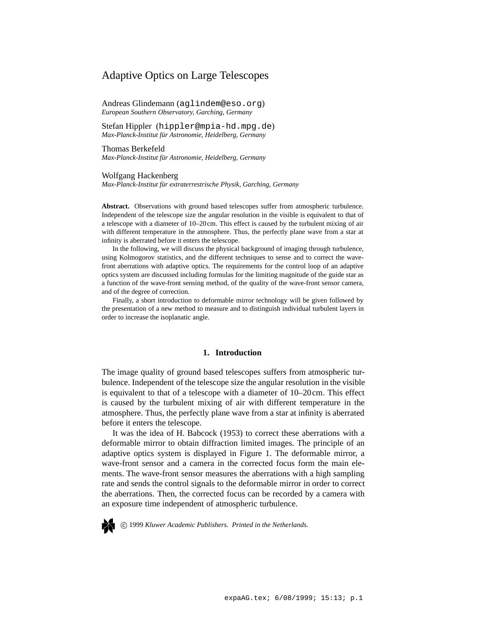# Adaptive Optics on Large Telescopes

Andreas Glindemann (aglindem@eso.org) *European Southern Observatory, Garching, Germany*

Stefan Hippler (hippler@mpia-hd.mpg.de) *Max-Planck-Institut f¨ur Astronomie, Heidelberg, Germany*

Thomas Berkefeld *Max-Planck-Institut f¨ur Astronomie, Heidelberg, Germany*

Wolfgang Hackenberg

*Max-Planck-Institut f¨ur extraterrestrische Physik, Garching, Germany*

**Abstract.** Observations with ground based telescopes suffer from atmospheric turbulence. Independent of the telescope size the angular resolution in the visible is equivalent to that of a telescope with a diameter of 10–20cm. This effect is caused by the turbulent mixing of air with different temperature in the atmosphere. Thus, the perfectly plane wave from a star at infinity is aberrated before it enters the telescope.

In the following, we will discuss the physical background of imaging through turbulence, using Kolmogorov statistics, and the different techniques to sense and to correct the wavefront aberrations with adaptive optics. The requirements for the control loop of an adaptive optics system are discussed including formulas for the limiting magnitude of the guide star as a function of the wave-front sensing method, of the quality of the wave-front sensor camera, and of the degree of correction.

Finally, a short introduction to deformable mirror technology will be given followed by the presentation of a new method to measure and to distinguish individual turbulent layers in order to increase the isoplanatic angle.

## **1. Introduction**

The image quality of ground based telescopes suffers from atmospheric turbulence. Independent of the telescope size the angular resolution in the visible is equivalent to that of a telescope with a diameter of 10–20cm. This effect is caused by the turbulent mixing of air with different temperature in the atmosphere. Thus, the perfectly plane wave from a star at infinity is aberrated before it enters the telescope.

It was the idea of H. Babcock (1953) to correct these aberrations with a deformable mirror to obtain diffraction limited images. The principle of an adaptive optics system is displayed in Figure 1. The deformable mirror, a wave-front sensor and a camera in the corrected focus form the main elements. The wave-front sensor measures the aberrations with a high sampling rate and sends the control signals to the deformable mirror in order to correct the aberrations. Then, the corrected focus can be recorded by a camera with an exposure time independent of atmospheric turbulence.



c 1999 *Kluwer Academic Publishers. Printed in the Netherlands.*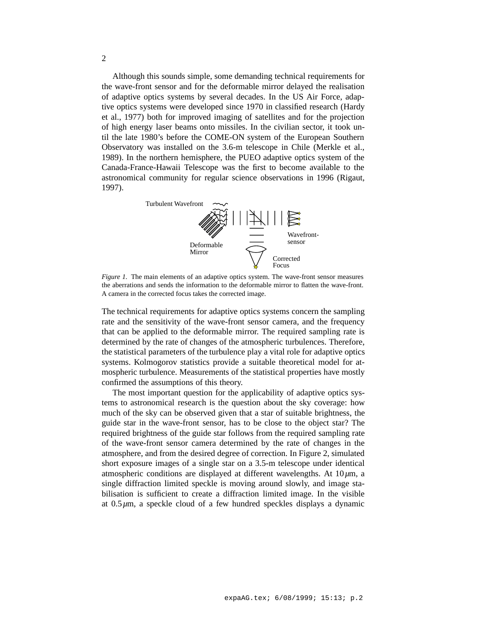Although this sounds simple, some demanding technical requirements for the wave-front sensor and for the deformable mirror delayed the realisation of adaptive optics systems by several decades. In the US Air Force, adaptive optics systems were developed since 1970 in classified research (Hardy et al., 1977) both for improved imaging of satellites and for the projection of high energy laser beams onto missiles. In the civilian sector, it took until the late 1980's before the COME-ON system of the European Southern Observatory was installed on the 3.6-m telescope in Chile (Merkle et al., 1989). In the northern hemisphere, the PUEO adaptive optics system of the Canada-France-Hawaii Telescope was the first to become available to the astronomical community for regular science observations in 1996 (Rigaut, 1997).



*Figure 1.* The main elements of an adaptive optics system. The wave-front sensor measures the aberrations and sends the information to the deformable mirror to flatten the wave-front. A camera in the corrected focus takes the corrected image.

The technical requirements for adaptive optics systems concern the sampling rate and the sensitivity of the wave-front sensor camera, and the frequency that can be applied to the deformable mirror. The required sampling rate is determined by the rate of changes of the atmospheric turbulences. Therefore, the statistical parameters of the turbulence play a vital role for adaptive optics systems. Kolmogorov statistics provide a suitable theoretical model for atmospheric turbulence. Measurements of the statistical properties have mostly confirmed the assumptions of this theory.

The most important question for the applicability of adaptive optics systems to astronomical research is the question about the sky coverage: how much of the sky can be observed given that a star of suitable brightness, the guide star in the wave-front sensor, has to be close to the object star? The required brightness of the guide star follows from the required sampling rate of the wave-front sensor camera determined by the rate of changes in the atmosphere, and from the desired degree of correction. In Figure 2, simulated short exposure images of a single star on a 3.5-m telescope under identical atmospheric conditions are displayed at different wavelengths. At 10*µ*m, a single diffraction limited speckle is moving around slowly, and image stabilisation is sufficient to create a diffraction limited image. In the visible at 0.5*µ*m, a speckle cloud of a few hundred speckles displays a dynamic

2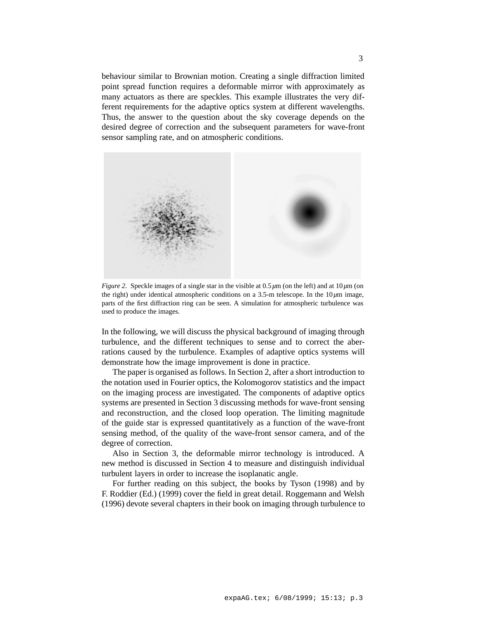behaviour similar to Brownian motion. Creating a single diffraction limited point spread function requires a deformable mirror with approximately as many actuators as there are speckles. This example illustrates the very different requirements for the adaptive optics system at different wavelengths. Thus, the answer to the question about the sky coverage depends on the desired degree of correction and the subsequent parameters for wave-front sensor sampling rate, and on atmospheric conditions.



*Figure 2.* Speckle images of a single star in the visible at  $0.5 \mu m$  (on the left) and at  $10 \mu m$  (on the right) under identical atmospheric conditions on a 3.5-m telescope. In the  $10 \mu m$  image, parts of the first diffraction ring can be seen. A simulation for atmospheric turbulence was used to produce the images.

In the following, we will discuss the physical background of imaging through turbulence, and the different techniques to sense and to correct the aberrations caused by the turbulence. Examples of adaptive optics systems will demonstrate how the image improvement is done in practice.

The paper is organised as follows. In Section 2, after a short introduction to the notation used in Fourier optics, the Kolomogorov statistics and the impact on the imaging process are investigated. The components of adaptive optics systems are presented in Section 3 discussing methods for wave-front sensing and reconstruction, and the closed loop operation. The limiting magnitude of the guide star is expressed quantitatively as a function of the wave-front sensing method, of the quality of the wave-front sensor camera, and of the degree of correction.

Also in Section 3, the deformable mirror technology is introduced. A new method is discussed in Section 4 to measure and distinguish individual turbulent layers in order to increase the isoplanatic angle.

For further reading on this subject, the books by Tyson (1998) and by F. Roddier (Ed.) (1999) cover the field in great detail. Roggemann and Welsh (1996) devote several chapters in their book on imaging through turbulence to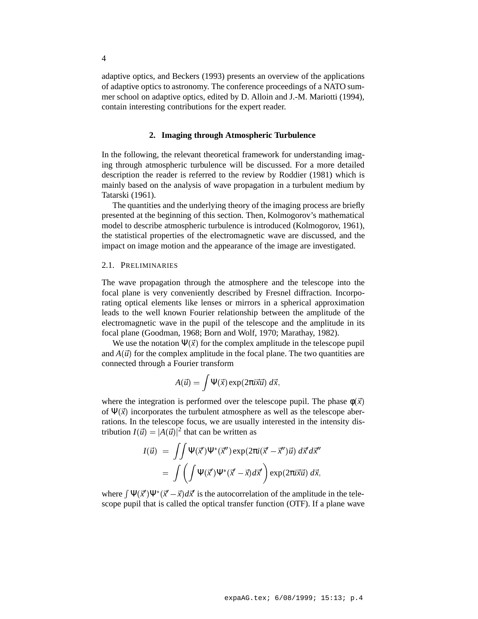adaptive optics, and Beckers (1993) presents an overview of the applications of adaptive optics to astronomy. The conference proceedings of a NATO summer school on adaptive optics, edited by D. Alloin and J.-M. Mariotti (1994), contain interesting contributions for the expert reader.

### **2. Imaging through Atmospheric Turbulence**

In the following, the relevant theoretical framework for understanding imaging through atmospheric turbulence will be discussed. For a more detailed description the reader is referred to the review by Roddier (1981) which is mainly based on the analysis of wave propagation in a turbulent medium by Tatarski (1961).

The quantities and the underlying theory of the imaging process are briefly presented at the beginning of this section. Then, Kolmogorov's mathematical model to describe atmospheric turbulence is introduced (Kolmogorov, 1961), the statistical properties of the electromagnetic wave are discussed, and the impact on image motion and the appearance of the image are investigated.

### 2.1. PRELIMINARIES

The wave propagation through the atmosphere and the telescope into the focal plane is very conveniently described by Fresnel diffraction. Incorporating optical elements like lenses or mirrors in a spherical approximation leads to the well known Fourier relationship between the amplitude of the electromagnetic wave in the pupil of the telescope and the amplitude in its focal plane (Goodman, 1968; Born and Wolf, 1970; Marathay, 1982).

We use the notation  $\Psi(\vec{x})$  for the complex amplitude in the telescope pupil and  $A(\vec{u})$  for the complex amplitude in the focal plane. The two quantities are connected through a Fourier transform

$$
A(\vec{u}) = \int \Psi(\vec{x}) \exp(2\pi i \vec{x} \vec{u}) \ d\vec{x},
$$

where the integration is performed over the telescope pupil. The phase  $\phi(\vec{x})$ of  $\Psi(\vec{x})$  incorporates the turbulent atmosphere as well as the telescope aberrations. In the telescope focus, we are usually interested in the intensity distribution  $I(\vec{u}) = |A(\vec{u})|^2$  that can be written as

$$
I(\vec{u}) = \iint \Psi(\vec{x}') \Psi^*(\vec{x}'') \exp(2\pi i (\vec{x}' - \vec{x}'') \vec{u}) d\vec{x}' d\vec{x}''
$$
  
= 
$$
\int \left( \int \Psi(\vec{x}') \Psi^*(\vec{x}' - \vec{x}) d\vec{x}' \right) \exp(2\pi i \vec{x} \vec{u}) d\vec{x},
$$

where  $\int \Psi(\vec{x}') \Psi^*(\vec{x}' - \vec{x}) d\vec{x}'$  is the autocorrelation of the amplitude in the telescope pupil that is called the optical transfer function (OTF). If a plane wave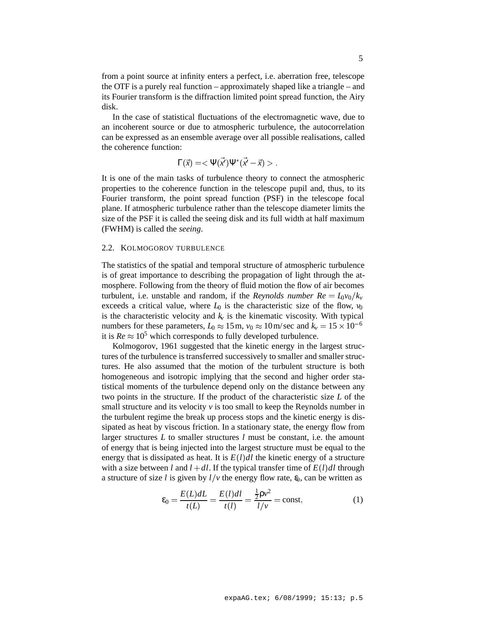from a point source at infinity enters a perfect, i.e. aberration free, telescope the OTF is a purely real function – approximately shaped like a triangle – and its Fourier transform is the diffraction limited point spread function, the Airy disk.

In the case of statistical fluctuations of the electromagnetic wave, due to an incoherent source or due to atmospheric turbulence, the autocorrelation can be expressed as an ensemble average over all possible realisations, called the coherence function:

$$
\Gamma(\vec{x}) = \langle \Psi(\vec{x'}) \Psi^*(\vec{x'} - \vec{x}) \rangle.
$$

It is one of the main tasks of turbulence theory to connect the atmospheric properties to the coherence function in the telescope pupil and, thus, to its Fourier transform, the point spread function (PSF) in the telescope focal plane. If atmospheric turbulence rather than the telescope diameter limits the size of the PSF it is called the seeing disk and its full width at half maximum (FWHM) is called the *seeing*.

### 2.2. KOLMOGOROV TURBULENCE

The statistics of the spatial and temporal structure of atmospheric turbulence is of great importance to describing the propagation of light through the atmosphere. Following from the theory of fluid motion the flow of air becomes turbulent, i.e. unstable and random, if the *Reynolds number Re* =  $L_0v_0/k_v$ exceeds a critical value, where  $L_0$  is the characteristic size of the flow,  $v_0$ is the characteristic velocity and  $k<sub>v</sub>$  is the kinematic viscosity. With typical numbers for these parameters,  $L_0 \approx 15$  m,  $v_0 \approx 10$  m/sec and  $k_v = 15 \times 10^{-6}$ it is  $Re \approx 10^5$  which corresponds to fully developed turbulence.

Kolmogorov, 1961 suggested that the kinetic energy in the largest structures of the turbulence is transferred successively to smaller and smaller structures. He also assumed that the motion of the turbulent structure is both homogeneous and isotropic implying that the second and higher order statistical moments of the turbulence depend only on the distance between any two points in the structure. If the product of the characteristic size *L* of the small structure and its velocity *v* is too small to keep the Reynolds number in the turbulent regime the break up process stops and the kinetic energy is dissipated as heat by viscous friction. In a stationary state, the energy flow from larger structures *L* to smaller structures *l* must be constant, i.e. the amount of energy that is being injected into the largest structure must be equal to the energy that is dissipated as heat. It is  $E(l)dl$  the kinetic energy of a structure with a size between *l* and  $l + dl$ . If the typical transfer time of  $E(l)dl$  through a structure of size *l* is given by  $l/v$  the energy flow rate,  $\epsilon_0$ , can be written as

$$
\varepsilon_0 = \frac{E(L)dL}{t(L)} = \frac{E(l)dl}{t(l)} = \frac{\frac{1}{2}\rho v^2}{l/v} = \text{const},\tag{1}
$$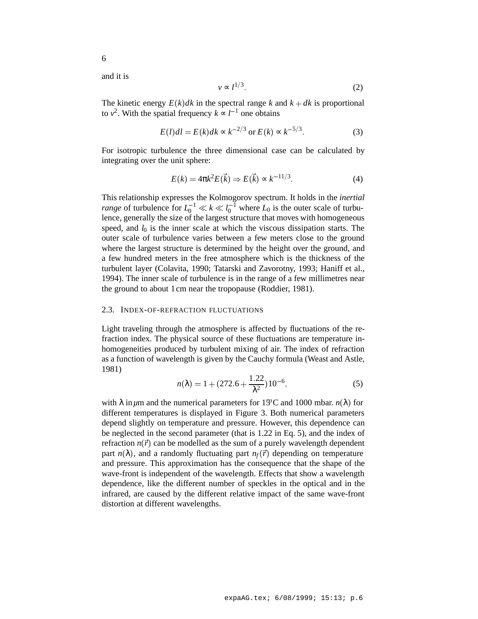6

$$
v \propto l^{1/3}.\tag{2}
$$

The kinetic energy  $E(k)dk$  in the spectral range k and  $k + dk$  is proportional to  $v^2$ . With the spatial frequency  $k \propto l^{-1}$  one obtains

$$
E(l)dl = E(k)dk \propto k^{-2/3} \text{ or } E(k) \propto k^{-5/3}.
$$
 (3)

For isotropic turbulence the three dimensional case can be calculated by integrating over the unit sphere:

$$
E(k) = 4\pi k^2 E(\vec{k}) \Rightarrow E(\vec{k}) \propto k^{-11/3}.
$$
 (4)

This relationship expresses the Kolmogorov spectrum. It holds in the *inertial range* of turbulence for  $L_0^{-1} \ll k \ll l_0^{-1}$  where  $L_0$  is the outer scale of turbulence, generally the size of the largest structure that moves with homogeneous speed, and  $l_0$  is the inner scale at which the viscous dissipation starts. The outer scale of turbulence varies between a few meters close to the ground where the largest structure is determined by the height over the ground, and a few hundred meters in the free atmosphere which is the thickness of the turbulent layer (Colavita, 1990; Tatarski and Zavorotny, 1993; Haniff et al., 1994). The inner scale of turbulence is in the range of a few millimetres near the ground to about 1cm near the tropopause (Roddier, 1981).

## 2.3. INDEX-OF-REFRACTION FLUCTUATIONS

Light traveling through the atmosphere is affected by fluctuations of the refraction index. The physical source of these fluctuations are temperature inhomogeneities produced by turbulent mixing of air. The index of refraction as a function of wavelength is given by the Cauchy formula (Weast and Astle, 1981)

$$
n(\lambda) = 1 + (272.6 + \frac{1.22}{\lambda^2})10^{-6},
$$
\n(5)

with  $\lambda$  in  $\mu$ m and the numerical parameters for 15<sup>o</sup>C and 1000 mbar. *n*( $\lambda$ ) for different temperatures is displayed in Figure 3. Both numerical parameters depend slightly on temperature and pressure. However, this dependence can be neglected in the second parameter (that is 1.22 in Eq. 5), and the index of refraction  $n(\vec{r})$  can be modelled as the sum of a purely wavelength dependent part  $n(\lambda)$ , and a randomly fluctuating part  $n_f(\vec{r})$  depending on temperature and pressure. This approximation has the consequence that the shape of the wave-front is independent of the wavelength. Effects that show a wavelength dependence, like the different number of speckles in the optical and in the infrared, are caused by the different relative impact of the same wave-front distortion at different wavelengths.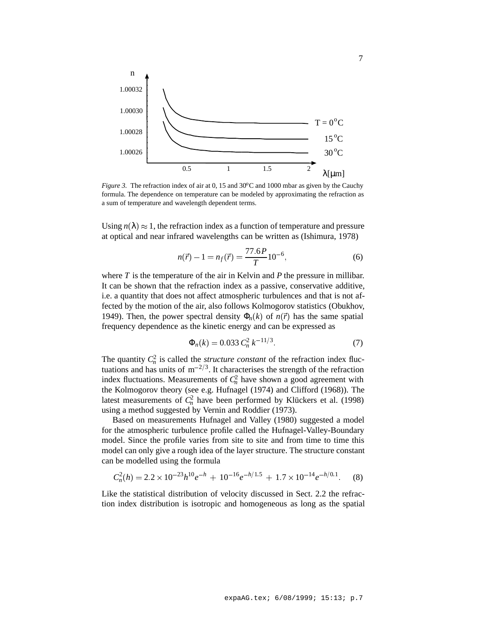

*Figure 3.* The refraction index of air at 0, 15 and 30 $^{\circ}$ C and 1000 mbar as given by the Cauchy formula. The dependence on temperature can be modeled by approximating the refraction as a sum of temperature and wavelength dependent terms.

Using  $n(\lambda) \approx 1$ , the refraction index as a function of temperature and pressure at optical and near infrared wavelengths can be written as (Ishimura, 1978)

$$
n(\vec{r}) - 1 = n_f(\vec{r}) = \frac{77.6P}{T} 10^{-6},\tag{6}
$$

where *T* is the temperature of the air in Kelvin and *P* the pressure in millibar. It can be shown that the refraction index as a passive, conservative additive, i.e. a quantity that does not affect atmospheric turbulences and that is not affected by the motion of the air, also follows Kolmogorov statistics (Obukhov, 1949). Then, the power spectral density  $\Phi_n(k)$  of  $n(\vec{r})$  has the same spatial frequency dependence as the kinetic energy and can be expressed as

$$
\Phi_n(k) = 0.033 \, C_n^2 \, k^{-11/3}.\tag{7}
$$

The quantity  $C_n^2$  is called the *structure constant* of the refraction index fluctuations and has units of  $m^{-2/3}$ . It characterises the strength of the refraction index fluctuations. Measurements of  $C_n^2$  have shown a good agreement with the Kolmogorov theory (see e.g. Hufnagel (1974) and Clifford (1968)). The latest measurements of  $C_n^2$  have been performed by Klückers et al. (1998) using a method suggested by Vernin and Roddier (1973).

Based on measurements Hufnagel and Valley (1980) suggested a model for the atmospheric turbulence profile called the Hufnagel-Valley-Boundary model. Since the profile varies from site to site and from time to time this model can only give a rough idea of the layer structure. The structure constant can be modelled using the formula

$$
C_n^2(h) = 2.2 \times 10^{-23} h^{10} e^{-h} + 10^{-16} e^{-h/1.5} + 1.7 \times 10^{-14} e^{-h/0.1}.
$$
 (8)

Like the statistical distribution of velocity discussed in Sect. 2.2 the refraction index distribution is isotropic and homogeneous as long as the spatial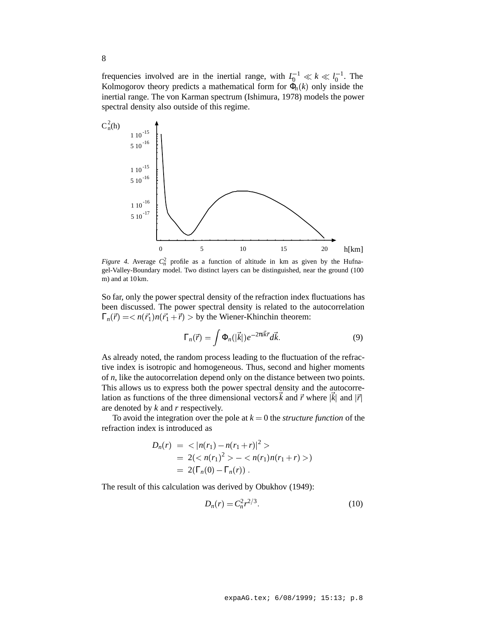frequencies involved are in the inertial range, with  $I_0^{-1} \ll k \ll l_0^{-1}$ . The Kolmogorov theory predicts a mathematical form for  $\Phi_n(k)$  only inside the inertial range. The von Karman spectrum (Ishimura, 1978) models the power spectral density also outside of this regime.



*Figure 4.* Average  $C_n^2$  profile as a function of altitude in km as given by the Hufnagel-Valley-Boundary model. Two distinct layers can be distinguished, near the ground (100 m) and at 10km.

So far, only the power spectral density of the refraction index fluctuations has been discussed. The power spectral density is related to the autocorrelation  $\Gamma_n(\vec{r}) = \langle n(\vec{r}_1)n(\vec{r}_1 + \vec{r}) \rangle$  by the Wiener-Khinchin theorem:

$$
\Gamma_n(\vec{r}) = \int \Phi_n(|\vec{k}|) e^{-2\pi i \vec{k}\vec{r}} d\vec{k}.
$$
 (9)

As already noted, the random process leading to the fluctuation of the refractive index is isotropic and homogeneous. Thus, second and higher moments of *n*, like the autocorrelation depend only on the distance between two points. This allows us to express both the power spectral density and the autocorrelation as functions of the three dimensional vectors  $\vec{k}$  and  $\vec{r}$  where  $|\vec{k}|$  and  $|\vec{r}|$ are denoted by *k* and *r* respectively.

To avoid the integration over the pole at  $k = 0$  the *structure function* of the refraction index is introduced as

$$
D_n(r) = \langle |n(r_1) - n(r_1 + r)|^2 \rangle
$$
  
= 2( $\langle n(r_1)^2 \rangle - \langle n(r_1)n(r_1 + r) \rangle$ )  
= 2( $\Gamma_n(0) - \Gamma_n(r)$ ).

The result of this calculation was derived by Obukhov (1949):

$$
D_n(r) = C_n^2 r^{2/3}.
$$
 (10)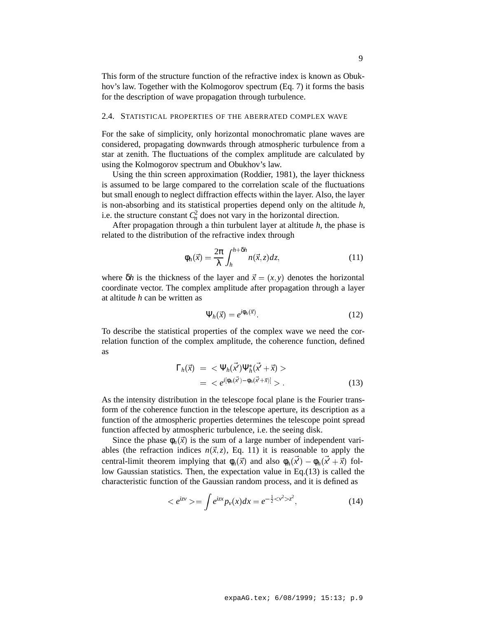This form of the structure function of the refractive index is known as Obukhov's law. Together with the Kolmogorov spectrum (Eq. 7) it forms the basis for the description of wave propagation through turbulence.

## 2.4. STATISTICAL PROPERTIES OF THE ABERRATED COMPLEX WAVE

For the sake of simplicity, only horizontal monochromatic plane waves are considered, propagating downwards through atmospheric turbulence from a star at zenith. The fluctuations of the complex amplitude are calculated by using the Kolmogorov spectrum and Obukhov's law.

Using the thin screen approximation (Roddier, 1981), the layer thickness is assumed to be large compared to the correlation scale of the fluctuations but small enough to neglect diffraction effects within the layer. Also, the layer is non-absorbing and its statistical properties depend only on the altitude *h*, i.e. the structure constant  $C_n^2$  does not vary in the horizontal direction.

After propagation through a thin turbulent layer at altitude *h*, the phase is related to the distribution of the refractive index through

$$
\phi_h(\vec{x}) = \frac{2\pi}{\lambda} \int_h^{h + \delta h} n(\vec{x}, z) dz,
$$
\n(11)

where  $\delta h$  is the thickness of the layer and  $\vec{x} = (x, y)$  denotes the horizontal coordinate vector. The complex amplitude after propagation through a layer at altitude *h* can be written as

$$
\Psi_h(\vec{x}) = e^{i\phi_h(\vec{x})}.\tag{12}
$$

To describe the statistical properties of the complex wave we need the correlation function of the complex amplitude, the coherence function, defined as

$$
\Gamma_h(\vec{x}) = \langle \Psi_h(\vec{x'}) \Psi_h^*(\vec{x'} + \vec{x}) \rangle \n= \langle e^{i[\phi_h(\vec{x'}) - \phi_h(\vec{x'} + \vec{x})]} \rangle.
$$
\n(13)

As the intensity distribution in the telescope focal plane is the Fourier transform of the coherence function in the telescope aperture, its description as a function of the atmospheric properties determines the telescope point spread function affected by atmospheric turbulence, i.e. the seeing disk.

Since the phase  $\phi_h(\vec{x})$  is the sum of a large number of independent variables (the refraction indices  $n(\vec{x}, z)$ , Eq. 11) it is reasonable to apply the central-limit theorem implying that  $\phi_h(\vec{x})$  and also  $\phi_h(x') - \phi_h(x' + \vec{x})$  follow Gaussian statistics. Then, the expectation value in Eq.(13) is called the characteristic function of the Gaussian random process, and it is defined as

$$
\langle e^{izv} \rangle = \int e^{izx} p_v(x) dx = e^{-\frac{1}{2} \langle v^2 \rangle z^2}, \tag{14}
$$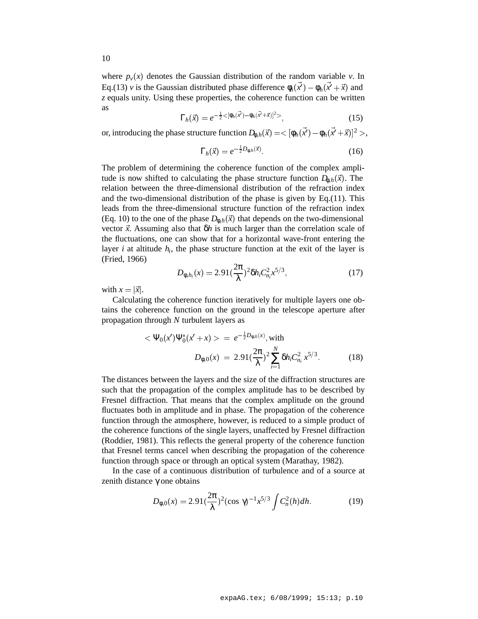where  $p_{\nu}(x)$  denotes the Gaussian distribution of the random variable  $\nu$ . In Eq.(13) *v* is the Gaussian distributed phase difference  $\phi_h(x') - \phi_h(x' + \vec{x})$  and *z* equals unity. Using these properties, the coherence function can be written as

$$
\Gamma_h(\vec{x}) = e^{-\frac{1}{2} < [\phi_h(\vec{x}) - \phi_h(\vec{x} + \vec{x})]^2} \tag{15}
$$

or, introducing the phase structure function  $D_{\phi,h}(\vec{x}) = < [\phi_h(\vec{x}') - \phi_h(\vec{x}' + \vec{x})]^2>$ ,

$$
\Gamma_h(\vec{x}) = e^{-\frac{1}{2}D_{\phi,h}(\vec{x})}.\tag{16}
$$

The problem of determining the coherence function of the complex amplitude is now shifted to calculating the phase structure function  $D_{\phi,h}(\vec{x})$ . The relation between the three-dimensional distribution of the refraction index and the two-dimensional distribution of the phase is given by Eq.(11). This leads from the three-dimensional structure function of the refraction index (Eq. 10) to the one of the phase  $D_{\phi,h}(\vec{x})$  that depends on the two-dimensional vector  $\vec{x}$ . Assuming also that  $\delta h$  is much larger than the correlation scale of the fluctuations, one can show that for a horizontal wave-front entering the layer *i* at altitude  $h_i$ , the phase structure function at the exit of the layer is (Fried, 1966)

$$
D_{\phi, h_i}(x) = 2.91 \left(\frac{2\pi}{\lambda}\right)^2 \delta h_i C_{n_i}^2 x^{5/3},\tag{17}
$$

with  $x = |\vec{x}|$ .

Calculating the coherence function iteratively for multiple layers one obtains the coherence function on the ground in the telescope aperture after propagation through *N* turbulent layers as

$$
<\Psi_0(x')\Psi_0^*(x'+x) > = e^{-\frac{1}{2}D_{\phi,0}(x)}
$$
, with  

$$
D_{\phi,0}(x) = 2.91(\frac{2\pi}{\lambda})^2 \sum_{i=1}^N \delta h_i C_{n_i}^2 x^{5/3}.
$$
 (18)

The distances between the layers and the size of the diffraction structures are such that the propagation of the complex amplitude has to be described by Fresnel diffraction. That means that the complex amplitude on the ground fluctuates both in amplitude and in phase. The propagation of the coherence function through the atmosphere, however, is reduced to a simple product of the coherence functions of the single layers, unaffected by Fresnel diffraction (Roddier, 1981). This reflects the general property of the coherence function that Fresnel terms cancel when describing the propagation of the coherence function through space or through an optical system (Marathay, 1982).

In the case of a continuous distribution of turbulence and of a source at zenith distance γ one obtains

$$
D_{\phi,0}(x) = 2.91 \left(\frac{2\pi}{\lambda}\right)^2 (\cos \gamma)^{-1} x^{5/3} \int C_n^2(h) dh.
$$
 (19)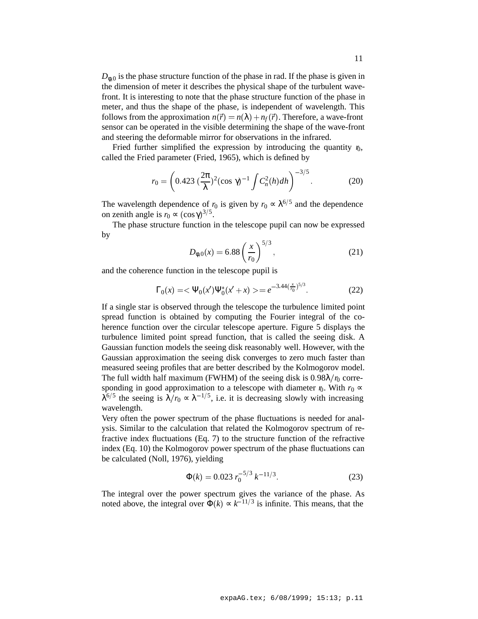$D_{\phi,0}$  is the phase structure function of the phase in rad. If the phase is given in the dimension of meter it describes the physical shape of the turbulent wavefront. It is interesting to note that the phase structure function of the phase in meter, and thus the shape of the phase, is independent of wavelength. This follows from the approximation  $n(\vec{r}) = n(\lambda) + n_f(\vec{r})$ . Therefore, a wave-front sensor can be operated in the visible determining the shape of the wave-front and steering the deformable mirror for observations in the infrared.

Fried further simplified the expression by introducing the quantity  $r_0$ , called the Fried parameter (Fried, 1965), which is defined by

$$
r_0 = \left(0.423 \left(\frac{2\pi}{\lambda}\right)^2 (\cos \gamma)^{-1} \int C_n^2(h) dh\right)^{-3/5}.
$$
 (20)

The wavelength dependence of  $r_0$  is given by  $r_0 \propto \lambda^{6/5}$  and the dependence on zenith angle is  $r_0$  ≈  $(\cos \gamma)^{3/5}$ .

The phase structure function in the telescope pupil can now be expressed by

$$
D_{\phi,0}(x) = 6.88 \left(\frac{x}{r_0}\right)^{5/3},\tag{21}
$$

and the coherence function in the telescope pupil is

$$
\Gamma_0(x) = \langle \Psi_0(x') \Psi_0^*(x' + x) \rangle = e^{-3.44(\frac{x}{r_0})^{5/3}}.
$$
 (22)

If a single star is observed through the telescope the turbulence limited point spread function is obtained by computing the Fourier integral of the coherence function over the circular telescope aperture. Figure 5 displays the turbulence limited point spread function, that is called the seeing disk. A Gaussian function models the seeing disk reasonably well. However, with the Gaussian approximation the seeing disk converges to zero much faster than measured seeing profiles that are better described by the Kolmogorov model. The full width half maximum (FWHM) of the seeing disk is  $0.98\lambda/r_0$  corresponding in good approximation to a telescope with diameter  $r_0$ . With  $r_0 \propto$  $\lambda^{6/5}$  the seeing is  $\lambda/r_0 \propto \lambda^{-1/5}$ , i.e. it is decreasing slowly with increasing wavelength.

Very often the power spectrum of the phase fluctuations is needed for analysis. Similar to the calculation that related the Kolmogorov spectrum of refractive index fluctuations (Eq. 7) to the structure function of the refractive index (Eq. 10) the Kolmogorov power spectrum of the phase fluctuations can be calculated (Noll, 1976), yielding

$$
\Phi(k) = 0.023 r_0^{-5/3} k^{-11/3}.
$$
\n(23)

The integral over the power spectrum gives the variance of the phase. As noted above, the integral over  $\Phi(k) \propto k^{-11/3}$  is infinite. This means, that the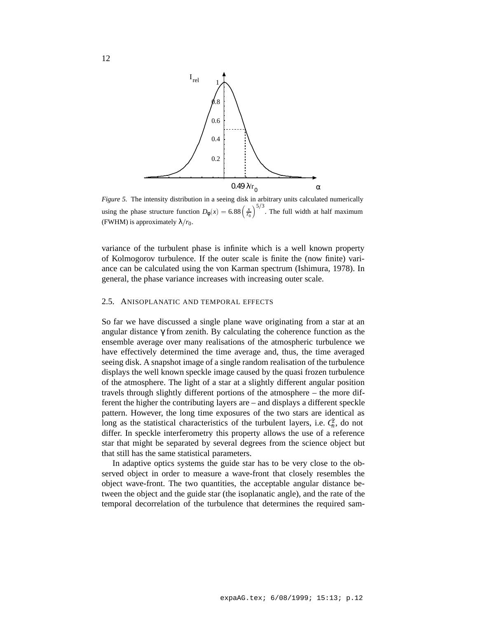

*Figure 5.* The intensity distribution in a seeing disk in arbitrary units calculated numerically using the phase structure function  $D_{\phi}(x) = 6.88 \left(\frac{x}{r_0}\right)^{5/3}$ . The full width at half maximum (FWHM) is approximately  $\lambda/r_0$ .

variance of the turbulent phase is infinite which is a well known property of Kolmogorov turbulence. If the outer scale is finite the (now finite) variance can be calculated using the von Karman spectrum (Ishimura, 1978). In general, the phase variance increases with increasing outer scale.

## 2.5. ANISOPLANATIC AND TEMPORAL EFFECTS

So far we have discussed a single plane wave originating from a star at an angular distance  $\gamma$  from zenith. By calculating the coherence function as the ensemble average over many realisations of the atmospheric turbulence we have effectively determined the time average and, thus, the time averaged seeing disk. A snapshot image of a single random realisation of the turbulence displays the well known speckle image caused by the quasi frozen turbulence of the atmosphere. The light of a star at a slightly different angular position travels through slightly different portions of the atmosphere – the more different the higher the contributing layers are – and displays a different speckle pattern. However, the long time exposures of the two stars are identical as long as the statistical characteristics of the turbulent layers, i.e.  $C_n^2$ , do not differ. In speckle interferometry this property allows the use of a reference star that might be separated by several degrees from the science object but that still has the same statistical parameters.

In adaptive optics systems the guide star has to be very close to the observed object in order to measure a wave-front that closely resembles the object wave-front. The two quantities, the acceptable angular distance between the object and the guide star (the isoplanatic angle), and the rate of the temporal decorrelation of the turbulence that determines the required sam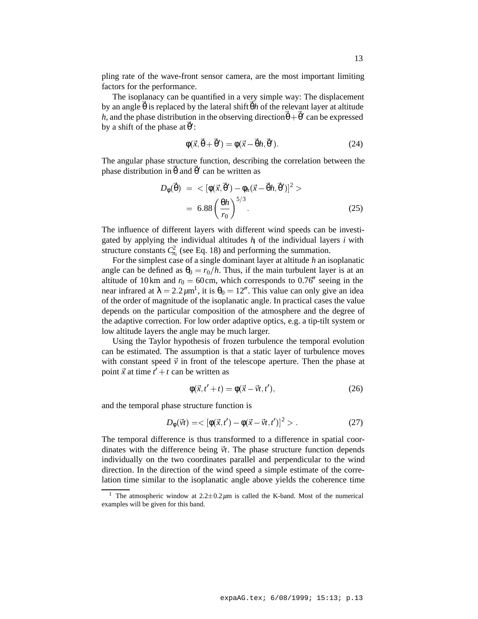pling rate of the wave-front sensor camera, are the most important limiting factors for the performance.

The isoplanacy can be quantified in a very simple way: The displacement by an angle<sup>~</sup> θ is replaced by the lateral shift<sup>~</sup> θ*h* of the relevant layer at altitude h, and the phase distribution in the observing direction  $\theta + \theta'$  can be expressed by a shift of the phase at  $\theta'$ :

$$
\Phi(\vec{x}, \vec{\theta} + \vec{\theta}') = \phi(\vec{x} - \vec{\theta}h, \vec{\theta}'). \tag{24}
$$

The angular phase structure function, describing the correlation between the phase distribution in θ and θ' can be written as

$$
D_{\phi}(\vec{\theta}) = \langle [\phi(\vec{x}, \vec{\theta}') - \phi_h(\vec{x} - \vec{\theta}h, \vec{\theta}')]^2 \rangle
$$
  
= 6.88  $\left(\frac{\theta h}{r_0}\right)^{5/3}$ . (25)

The influence of different layers with different wind speeds can be investigated by applying the individual altitudes  $h_i$  of the individual layers  $i$  with structure constants  $C_{n_i}^2$  (see Eq. 18) and performing the summation.

For the simplest case of a single dominant layer at altitude *h* an isoplanatic angle can be defined as  $\theta_0 = r_0/h$ . Thus, if the main turbulent layer is at an altitude of 10km and  $r_0 = 60$ cm, which corresponds to 0.76<sup> $\prime\prime$ </sup> seeing in the near infrared at  $\lambda = 2.2 \mu m^1$ , it is  $\theta_0 = 12^{\prime\prime}$ . This value can only give an idea of the order of magnitude of the isoplanatic angle. In practical cases the value depends on the particular composition of the atmosphere and the degree of the adaptive correction. For low order adaptive optics, e.g. a tip-tilt system or low altitude layers the angle may be much larger.

Using the Taylor hypothesis of frozen turbulence the temporal evolution can be estimated. The assumption is that a static layer of turbulence moves with constant speed  $\vec{v}$  in front of the telescope aperture. Then the phase at point  $\vec{x}$  at time  $t' + t$  can be written as

$$
\phi(\vec{x}, t'+t) = \phi(\vec{x} - \vec{v}t, t'),\tag{26}
$$

and the temporal phase structure function is

$$
D_{\phi}(\vec{v}t) = \langle [\phi(\vec{x}, t') - \phi(\vec{x} - \vec{v}t, t')]^{2} \rangle. \tag{27}
$$

The temporal difference is thus transformed to a difference in spatial coordinates with the difference being  $\vec{v}t$ . The phase structure function depends individually on the two coordinates parallel and perpendicular to the wind direction. In the direction of the wind speed a simple estimate of the correlation time similar to the isoplanatic angle above yields the coherence time

<sup>&</sup>lt;sup>1</sup> The atmospheric window at  $2.2 \pm 0.2 \mu m$  is called the K-band. Most of the numerical examples will be given for this band.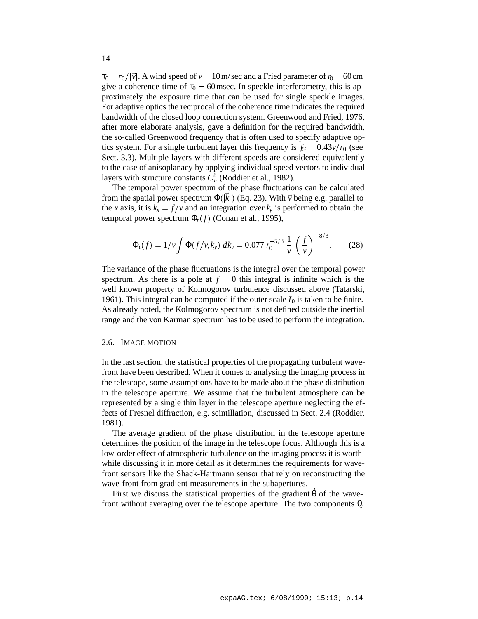$\tau_0 = r_0/|\vec{v}|$ . A wind speed of  $v = 10$  m/sec and a Fried parameter of  $r_0 = 60$  cm give a coherence time of  $\tau_0 = 60$  msec. In speckle interferometry, this is approximately the exposure time that can be used for single speckle images. For adaptive optics the reciprocal of the coherence time indicates the required bandwidth of the closed loop correction system. Greenwood and Fried, 1976, after more elaborate analysis, gave a definition for the required bandwidth, the so-called Greenwood frequency that is often used to specify adaptive optics system. For a single turbulent layer this frequency is  $f_G = 0.43v/r_0$  (see Sect. 3.3). Multiple layers with different speeds are considered equivalently to the case of anisoplanacy by applying individual speed vectors to individual layers with structure constants  $C_{n_i}^2$  (Roddier et al., 1982).

The temporal power spectrum of the phase fluctuations can be calculated from the spatial power spectrum  $\Phi(\vec{k})$  (Eq. 23). With  $\vec{v}$  being e.g. parallel to the *x* axis, it is  $k_x = f/v$  and an integration over  $k_y$  is performed to obtain the temporal power spectrum  $\Phi_t(f)$  (Conan et al., 1995),

$$
\Phi_t(f) = 1/v \int \Phi(f/v, k_y) \, dk_y = 0.077 \, r_0^{-5/3} \, \frac{1}{v} \left(\frac{f}{v}\right)^{-8/3} . \tag{28}
$$

The variance of the phase fluctuations is the integral over the temporal power spectrum. As there is a pole at  $f = 0$  this integral is infinite which is the well known property of Kolmogorov turbulence discussed above (Tatarski, 1961). This integral can be computed if the outer scale  $L_0$  is taken to be finite. As already noted, the Kolmogorov spectrum is not defined outside the inertial range and the von Karman spectrum has to be used to perform the integration.

### 2.6. IMAGE MOTION

In the last section, the statistical properties of the propagating turbulent wavefront have been described. When it comes to analysing the imaging process in the telescope, some assumptions have to be made about the phase distribution in the telescope aperture. We assume that the turbulent atmosphere can be represented by a single thin layer in the telescope aperture neglecting the effects of Fresnel diffraction, e.g. scintillation, discussed in Sect. 2.4 (Roddier, 1981).

The average gradient of the phase distribution in the telescope aperture determines the position of the image in the telescope focus. Although this is a low-order effect of atmospheric turbulence on the imaging process it is worthwhile discussing it in more detail as it determines the requirements for wavefront sensors like the Shack-Hartmann sensor that rely on reconstructing the wave-front from gradient measurements in the subapertures.

First we discuss the statistical properties of the gradient  $\hat{\theta}$  of the wavefront without averaging over the telescope aperture. The two components θ

14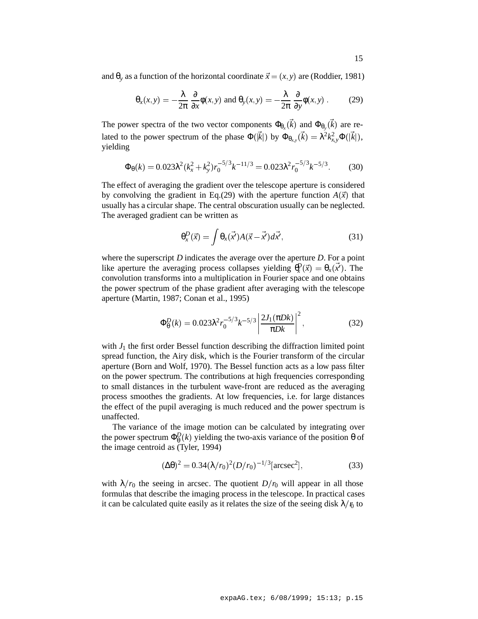and  $\theta$ <sub>*y*</sub> as a function of the horizontal coordinate  $\vec{x} = (x, y)$  are (Roddier, 1981)

$$
\theta_x(x,y) = -\frac{\lambda}{2\pi} \frac{\partial}{\partial x} \phi(x,y) \text{ and } \theta_y(x,y) = -\frac{\lambda}{2\pi} \frac{\partial}{\partial y} \phi(x,y) . \quad (29)
$$

The power spectra of the two vector components  $\Phi_{\theta_r}(\vec{k})$  and  $\Phi_{\theta_v}(\vec{k})$  are related to the power spectrum of the phase  $\Phi(\vec{k})$  by  $\Phi_{\theta_{xy}}(\vec{k}) = \lambda^2 k_{xy}^2 \Phi(|\vec{k}|)$ , yielding

$$
\Phi_{\theta}(k) = 0.023\lambda^2 (k_x^2 + k_y^2) r_0^{-5/3} k^{-11/3} = 0.023\lambda^2 r_0^{-5/3} k^{-5/3}.
$$
 (30)

The effect of averaging the gradient over the telescope aperture is considered by convolving the gradient in Eq.(29) with the aperture function  $A(\vec{x})$  that usually has a circular shape. The central obscuration usually can be neglected. The averaged gradient can be written as

$$
\theta_x^D(\vec{x}) = \int \theta_x(\vec{x'}) A(\vec{x} - \vec{x'}) d\vec{x'}, \tag{31}
$$

where the superscript *D* indicates the average over the aperture *D*. For a point like aperture the averaging process collapses yielding  $\theta_x^D(\vec{x}) = \theta_x(\vec{x})$ . The convolution transforms into a multiplication in Fourier space and one obtains the power spectrum of the phase gradient after averaging with the telescope aperture (Martin, 1987; Conan et al., 1995)

$$
\Phi_{\theta}^{D}(k) = 0.023\lambda^{2} r_{0}^{-5/3} k^{-5/3} \left| \frac{2J_{1}(\pi D k)}{\pi D k} \right|^{2}, \qquad (32)
$$

with  $J_1$  the first order Bessel function describing the diffraction limited point spread function, the Airy disk, which is the Fourier transform of the circular aperture (Born and Wolf, 1970). The Bessel function acts as a low pass filter on the power spectrum. The contributions at high frequencies corresponding to small distances in the turbulent wave-front are reduced as the averaging process smoothes the gradients. At low frequencies, i.e. for large distances the effect of the pupil averaging is much reduced and the power spectrum is unaffected.

The variance of the image motion can be calculated by integrating over the power spectrum  $\Phi_{\theta}^{D}(k)$  yielding the two-axis variance of the position  $\theta$  of the image centroid as (Tyler, 1994)

$$
(\Delta\theta)^2 = 0.34(\lambda/r_0)^2(D/r_0)^{-1/3}[\text{arcsec}^2],\tag{33}
$$

with  $\lambda/r_0$  the seeing in arcsec. The quotient  $D/r_0$  will appear in all those formulas that describe the imaging process in the telescope. In practical cases it can be calculated quite easily as it relates the size of the seeing disk  $\lambda/\mathfrak{v}$  to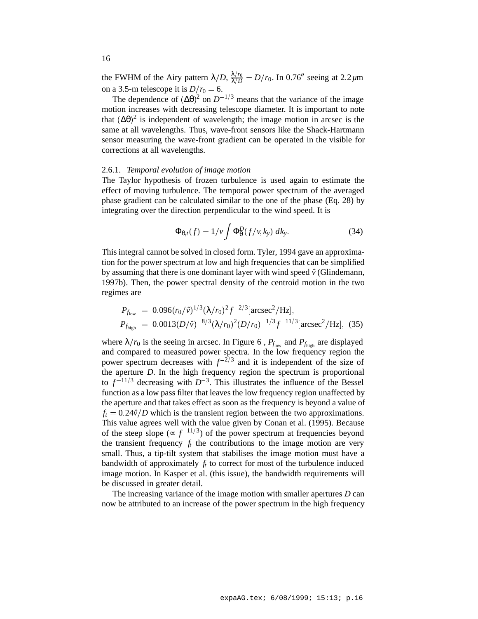the FWHM of the Airy pattern  $\lambda/D$ ,  $\frac{\lambda/r_0}{\lambda/D} = D/r_0$ . In 0.76<sup>th</sup> seeing at 2.2 $\mu$ m on a 3.5-m telescope it is  $D/r_0 = 6$ .

The dependence of  $(\Delta\theta)^2$  on  $D^{-1/3}$  means that the variance of the image motion increases with decreasing telescope diameter. It is important to note that  $(\Delta\theta)^2$  is independent of wavelength; the image motion in arcsec is the same at all wavelengths. Thus, wave-front sensors like the Shack-Hartmann sensor measuring the wave-front gradient can be operated in the visible for corrections at all wavelengths.

### 2.6.1. *Temporal evolution of image motion*

The Taylor hypothesis of frozen turbulence is used again to estimate the effect of moving turbulence. The temporal power spectrum of the averaged phase gradient can be calculated similar to the one of the phase (Eq. 28) by integrating over the direction perpendicular to the wind speed. It is

$$
\Phi_{\theta,t}(f) = 1/\nu \int \Phi_{\theta}^{D}(f/\nu, k_{y}) \, dk_{y}.
$$
 (34)

This integral cannot be solved in closed form. Tyler, 1994 gave an approximation for the power spectrum at low and high frequencies that can be simplified by assuming that there is one dominant layer with wind speed  $\hat{v}$  (Glindemann, 1997b). Then, the power spectral density of the centroid motion in the two regimes are

$$
P_{f_{\text{low}}} = 0.096(r_0/\hat{v})^{1/3} (\lambda/r_0)^2 f^{-2/3} [\text{arcsec}^2/\text{Hz}],
$$
  
\n
$$
P_{f_{\text{high}}} = 0.0013(D/\hat{v})^{-8/3} (\lambda/r_0)^2 (D/r_0)^{-1/3} f^{-11/3} [\text{arcsec}^2/\text{Hz}],
$$
 (35)

where  $\lambda/r_0$  is the seeing in arcsec. In Figure 6,  $P_{f_{low}}$  and  $P_{f_{high}}$  are displayed and compared to measured power spectra. In the low frequency region the power spectrum decreases with  $f^{-2/3}$  and it is independent of the size of the aperture *D*. In the high frequency region the spectrum is proportional to  $f^{-11/3}$  decreasing with  $D^{-3}$ . This illustrates the influence of the Bessel function as a low pass filter that leaves the low frequency region unaffected by the aperture and that takes effect as soon as the frequency is beyond a value of  $f_t = 0.24\hat{v}/D$  which is the transient region between the two approximations. This value agrees well with the value given by Conan et al. (1995). Because of the steep slope ( $\propto f^{-11/3}$ ) of the power spectrum at frequencies beyond the transient frequency  $f_t$  the contributions to the image motion are very small. Thus, a tip-tilt system that stabilises the image motion must have a bandwidth of approximately  $f_t$  to correct for most of the turbulence induced image motion. In Kasper et al. (this issue), the bandwidth requirements will be discussed in greater detail.

The increasing variance of the image motion with smaller apertures *D* can now be attributed to an increase of the power spectrum in the high frequency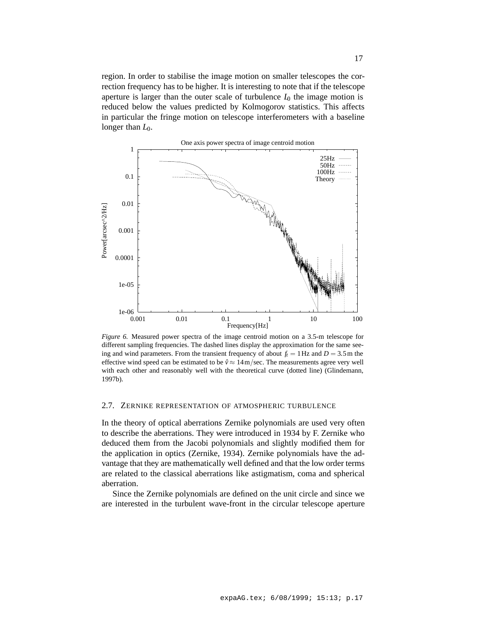region. In order to stabilise the image motion on smaller telescopes the correction frequency has to be higher. It is interesting to note that if the telescope aperture is larger than the outer scale of turbulence  $I_0$  the image motion is reduced below the values predicted by Kolmogorov statistics. This affects in particular the fringe motion on telescope interferometers with a baseline longer than  $L_0$ .



*Figure 6.* Measured power spectra of the image centroid motion on a 3.5-m telescope for different sampling frequencies. The dashed lines display the approximation for the same seeing and wind parameters. From the transient frequency of about  $f_t = 1$  Hz and  $D = 3.5$ m the effective wind speed can be estimated to be  $\hat{v} \approx 14 \text{ m/sec}$ . The measurements agree very well with each other and reasonably well with the theoretical curve (dotted line) (Glindemann, 1997b).

### 2.7. ZERNIKE REPRESENTATION OF ATMOSPHERIC TURBULENCE

In the theory of optical aberrations Zernike polynomials are used very often to describe the aberrations. They were introduced in 1934 by F. Zernike who deduced them from the Jacobi polynomials and slightly modified them for the application in optics (Zernike, 1934). Zernike polynomials have the advantage that they are mathematically well defined and that the low order terms are related to the classical aberrations like astigmatism, coma and spherical aberration.

Since the Zernike polynomials are defined on the unit circle and since we are interested in the turbulent wave-front in the circular telescope aperture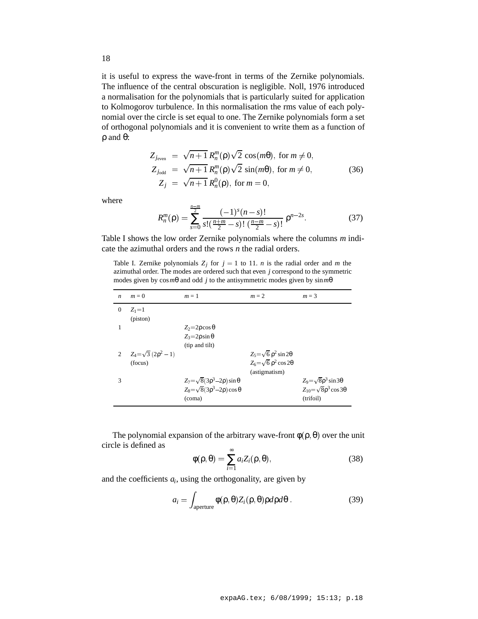it is useful to express the wave-front in terms of the Zernike polynomials. The influence of the central obscuration is negligible. Noll, 1976 introduced a normalisation for the polynomials that is particularly suited for application to Kolmogorov turbulence. In this normalisation the rms value of each polynomial over the circle is set equal to one. The Zernike polynomials form a set of orthogonal polynomials and it is convenient to write them as a function of ρ and θ:

$$
Z_{j_{\text{even}}} = \sqrt{n+1} R_n^m(\rho) \sqrt{2} \cos(m\theta), \text{ for } m \neq 0,
$$
  
\n
$$
Z_{j_{\text{odd}}} = \sqrt{n+1} R_n^m(\rho) \sqrt{2} \sin(m\theta), \text{ for } m \neq 0,
$$
  
\n
$$
Z_j = \sqrt{n+1} R_n^0(\rho), \text{ for } m = 0,
$$
\n(36)

where

$$
R_n^m(\rho) = \sum_{s=0}^{\frac{n-m}{2}} \frac{(-1)^s (n-s)!}{s! \left(\frac{n+m}{2} - s\right)! \left(\frac{n-m}{2} - s\right)!} \rho^{n-2s}.
$$
 (37)

Table I shows the low order Zernike polynomials where the columns *m* indicate the azimuthal orders and the rows *n* the radial orders.

*nm*

Table I. Zernike polynomials  $Z_j$  for  $j = 1$  to 11. *n* is the radial order and *m* the azimuthal order. The modes are ordered such that even *j* correspond to the symmetric modes given by cos*m*θ and odd *j* to the antisymmetric modes given by sin*m*θ

| $\boldsymbol{n}$ | $m = 0$                                   | $m=1$                                                                                                    | $m = 2$                                                                                       | $m = 3$                                                                                    |
|------------------|-------------------------------------------|----------------------------------------------------------------------------------------------------------|-----------------------------------------------------------------------------------------------|--------------------------------------------------------------------------------------------|
| $\mathbf{0}$     | $Z_1=1$<br>(piston)                       |                                                                                                          |                                                                                               |                                                                                            |
|                  |                                           | $Z_2 = 2\rho \cos \theta$<br>$Z_3 = 2\rho \sin \theta$<br>(tip and tilt)                                 |                                                                                               |                                                                                            |
| $\overline{2}$   | $Z_4 = \sqrt{3} (2\rho^2 - 1)$<br>(focus) |                                                                                                          | $Z_5 = \sqrt{6} \rho^2 \sin 2\theta$<br>$Z_6 = \sqrt{6} \rho^2 \cos 2\theta$<br>(astigmatism) |                                                                                            |
| 3                |                                           | $Z_7 = \sqrt{8(3\rho^3 - 2\rho)} \sin \theta$<br>$Z_8 = \sqrt{8(3\rho^3 - 2\rho)} \cos \theta$<br>(coma) |                                                                                               | $Z_9 = \sqrt{8\rho^3} \sin 3\theta$<br>$Z_{10} = \sqrt{8\rho^3} \cos 3\theta$<br>(trifoil) |

The polynomial expansion of the arbitrary wave-front  $\phi(\rho, \theta)$  over the unit circle is defined as

$$
\phi(\rho,\theta) = \sum_{i=1}^{\infty} a_i Z_i(\rho,\theta),
$$
\n(38)

and the coefficients *ai*, using the orthogonality, are given by

$$
a_i = \int_{\text{aperture}} \phi(\rho, \theta) Z_i(\rho, \theta) \rho d\rho d\theta. \tag{39}
$$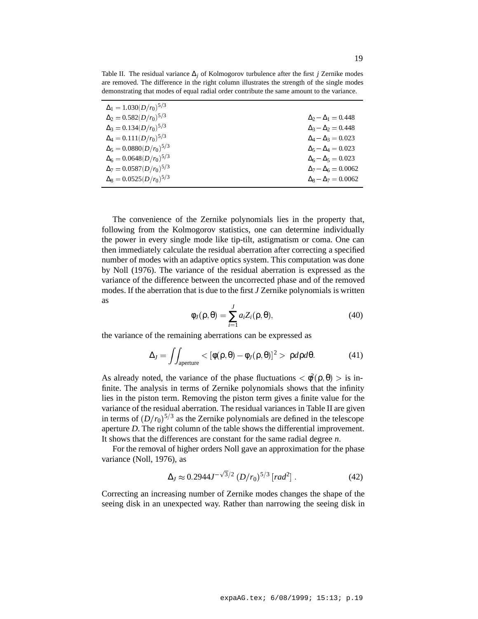| $\Delta_1 = 1.030(D/r_0)^{5/3}$  |                                |
|----------------------------------|--------------------------------|
| $\Delta_2 = 0.582(D/r_0)^{5/3}$  | $\Delta_2 - \Delta_1 = 0.448$  |
| $\Delta_3 = 0.134(D/r_0)^{5/3}$  | $\Delta_3 - \Delta_2 = 0.448$  |
| $\Delta_4 = 0.111(D/r_0)^{5/3}$  | $\Delta_4 - \Delta_3 = 0.023$  |
| $\Delta_5 = 0.0880(D/r_0)^{5/3}$ | $\Delta_5 - \Delta_4 = 0.023$  |
| $\Delta_6 = 0.0648(D/r_0)^{5/3}$ | $\Delta_6 - \Delta_5 = 0.023$  |
| $\Delta_7 = 0.0587(D/r_0)^{5/3}$ | $\Delta_7 - \Delta_6 = 0.0062$ |
| $\Delta_8 = 0.0525(D/r_0)^{5/3}$ | $\Delta_8 - \Delta_7 = 0.0062$ |
|                                  |                                |

Table II. The residual variance ∆*<sup>j</sup>* of Kolmogorov turbulence after the first *j* Zernike modes are removed. The difference in the right column illustrates the strength of the single modes demonstrating that modes of equal radial order contribute the same amount to the variance.

The convenience of the Zernike polynomials lies in the property that, following from the Kolmogorov statistics, one can determine individually the power in every single mode like tip-tilt, astigmatism or coma. One can then immediately calculate the residual aberration after correcting a specified number of modes with an adaptive optics system. This computation was done by Noll (1976). The variance of the residual aberration is expressed as the variance of the difference between the uncorrected phase and of the removed modes. If the aberration that is due to the first *J* Zernike polynomials is written as

$$
\phi_J(\rho,\theta) = \sum_{i=1}^J a_i Z_i(\rho,\theta),\tag{40}
$$

the variance of the remaining aberrations can be expressed as

$$
\Delta_J = \iint_{\text{aperture}} \langle [\phi(\rho, \theta) - \phi_J(\rho, \theta)]^2 \rangle \, \rho d\rho d\theta. \tag{41}
$$

As already noted, the variance of the phase fluctuations  $\langle \phi(\rho, \theta) \rangle$  is infinite. The analysis in terms of Zernike polynomials shows that the infinity lies in the piston term. Removing the piston term gives a finite value for the variance of the residual aberration. The residual variances in Table II are given in terms of  $(D/r_0)^{5/3}$  as the Zernike polynomials are defined in the telescope aperture *D*. The right column of the table shows the differential improvement. It shows that the differences are constant for the same radial degree *n*.

For the removal of higher orders Noll gave an approximation for the phase variance (Noll, 1976), as

$$
\Delta_J \approx 0.2944 J^{-\sqrt{3}/2} \left( D/r_0 \right)^{5/3} \left[ rad^2 \right]. \tag{42}
$$

Correcting an increasing number of Zernike modes changes the shape of the seeing disk in an unexpected way. Rather than narrowing the seeing disk in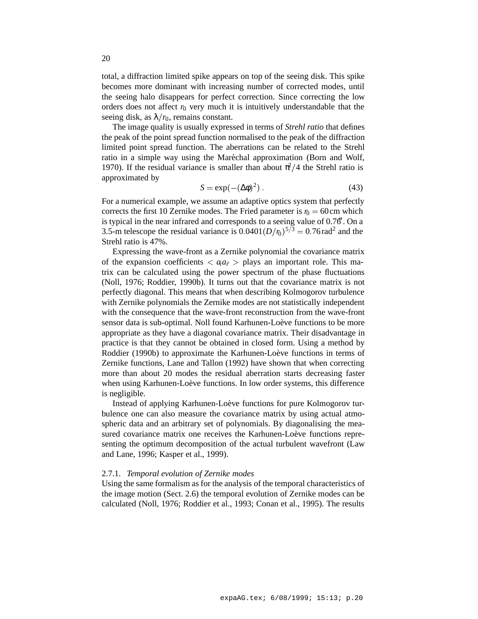total, a diffraction limited spike appears on top of the seeing disk. This spike becomes more dominant with increasing number of corrected modes, until the seeing halo disappears for perfect correction. Since correcting the low orders does not affect  $r_0$  very much it is intuitively understandable that the seeing disk, as  $\lambda/r_0$ , remains constant.

The image quality is usually expressed in terms of *Strehl ratio* that defines the peak of the point spread function normalised to the peak of the diffraction limited point spread function. The aberrations can be related to the Strehl ratio in a simple way using the Maréchal approximation (Born and Wolf, 1970). If the residual variance is smaller than about  $\pi^2/4$  the Strehl ratio is approximated by

$$
S = \exp(-(\Delta \phi)^2) \,. \tag{43}
$$

For a numerical example, we assume an adaptive optics system that perfectly corrects the first 10 Zernike modes. The Fried parameter is  $r_0 = 60$  cm which is typical in the near infrared and corresponds to a seeing value of  $0.76'$ . On a 3.5-m telescope the residual variance is  $0.0401(D/\eta)$ <sup>5/3</sup> = 0.76 rad<sup>2</sup> and the Strehl ratio is 47%.

Expressing the wave-front as a Zernike polynomial the covariance matrix of the expansion coefficients  $\langle a_i a_{i'} \rangle$  plays an important role. This matrix can be calculated using the power spectrum of the phase fluctuations (Noll, 1976; Roddier, 1990b). It turns out that the covariance matrix is not perfectly diagonal. This means that when describing Kolmogorov turbulence with Zernike polynomials the Zernike modes are not statistically independent with the consequence that the wave-front reconstruction from the wave-front sensor data is sub-optimal. Noll found Karhunen-Loève functions to be more appropriate as they have a diagonal covariance matrix. Their disadvantage in practice is that they cannot be obtained in closed form. Using a method by Roddier (1990b) to approximate the Karhunen-Loève functions in terms of Zernike functions, Lane and Tallon (1992) have shown that when correcting more than about 20 modes the residual aberration starts decreasing faster when using Karhunen-Loève functions. In low order systems, this difference is negligible.

Instead of applying Karhunen-Loève functions for pure Kolmogorov turbulence one can also measure the covariance matrix by using actual atmospheric data and an arbitrary set of polynomials. By diagonalising the measured covariance matrix one receives the Karhunen-Loève functions representing the optimum decomposition of the actual turbulent wavefront (Law and Lane, 1996; Kasper et al., 1999).

## 2.7.1. *Temporal evolution of Zernike modes*

Using the same formalism as for the analysis of the temporal characteristics of the image motion (Sect. 2.6) the temporal evolution of Zernike modes can be calculated (Noll, 1976; Roddier et al., 1993; Conan et al., 1995). The results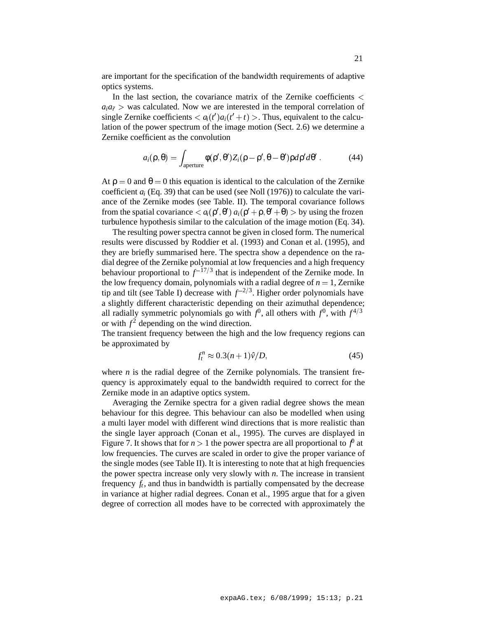are important for the specification of the bandwidth requirements of adaptive optics systems.

In the last section, the covariance matrix of the Zernike coefficients  $\lt$  $a_i a_i >$  was calculated. Now we are interested in the temporal correlation of single Zernike coefficients  $\langle a_i(t')a_i(t'+t)\rangle$ . Thus, equivalent to the calculation of the power spectrum of the image motion (Sect. 2.6) we determine a Zernike coefficient as the convolution

$$
a_i(\rho,\theta) = \int_{\text{aperture}} \phi(\rho',\theta') Z_i(\rho-\rho',\theta-\theta') \rho d\rho' d\theta' \,. \tag{44}
$$

At  $\rho = 0$  and  $\theta = 0$  this equation is identical to the calculation of the Zernike coefficient *ai* (Eq. 39) that can be used (see Noll (1976)) to calculate the variance of the Zernike modes (see Table. II). The temporal covariance follows from the spatial covariance  $\langle a_i(\rho', \theta') | a_i(\rho' + \rho, \theta' + \theta) \rangle$  by using the frozen turbulence hypothesis similar to the calculation of the image motion (Eq. 34).

The resulting power spectra cannot be given in closed form. The numerical results were discussed by Roddier et al. (1993) and Conan et al. (1995), and they are briefly summarised here. The spectra show a dependence on the radial degree of the Zernike polynomial at low frequencies and a high frequency behaviour proportional to  $f^{-17/3}$  that is independent of the Zernike mode. In the low frequency domain, polynomials with a radial degree of  $n = 1$ , Zernike tip and tilt (see Table I) decrease with  $f^{-2/3}$ . Higher order polynomials have a slightly different characteristic depending on their azimuthal dependence; all radially symmetric polynomials go with  $f^0$ , all others with  $f^0$ , with  $f^{4/3}$ or with  $f^2$  depending on the wind direction.

The transient frequency between the high and the low frequency regions can be approximated by

$$
f_t^n \approx 0.3(n+1)\hat{\nu}/D,\tag{45}
$$

where  $n$  is the radial degree of the Zernike polynomials. The transient frequency is approximately equal to the bandwidth required to correct for the Zernike mode in an adaptive optics system.

Averaging the Zernike spectra for a given radial degree shows the mean behaviour for this degree. This behaviour can also be modelled when using a multi layer model with different wind directions that is more realistic than the single layer approach (Conan et al., 1995). The curves are displayed in Figure 7. It shows that for  $n > 1$  the power spectra are all proportional to  $f^0$  at low frequencies. The curves are scaled in order to give the proper variance of the single modes (see Table II). It is interesting to note that at high frequencies the power spectra increase only very slowly with *n*. The increase in transient frequency  $f_t$ , and thus in bandwidth is partially compensated by the decrease in variance at higher radial degrees. Conan et al., 1995 argue that for a given degree of correction all modes have to be corrected with approximately the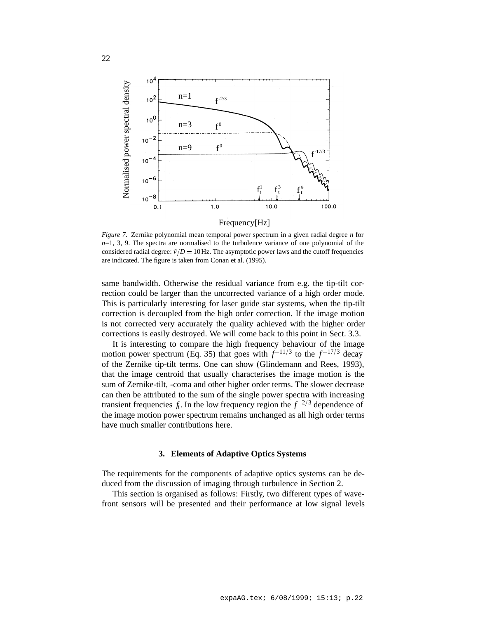

Frequency[Hz]

*Figure 7.* Zernike polynomial mean temporal power spectrum in a given radial degree *n* for  $n=1, 3, 9$ . The spectra are normalised to the turbulence variance of one polynomial of the considered radial degree:  $\hat{v}/D = 10$  Hz. The asymptotic power laws and the cutoff frequencies are indicated. The figure is taken from Conan et al. (1995).

same bandwidth. Otherwise the residual variance from e.g. the tip-tilt correction could be larger than the uncorrected variance of a high order mode. This is particularly interesting for laser guide star systems, when the tip-tilt correction is decoupled from the high order correction. If the image motion is not corrected very accurately the quality achieved with the higher order corrections is easily destroyed. We will come back to this point in Sect. 3.3.

It is interesting to compare the high frequency behaviour of the image motion power spectrum (Eq. 35) that goes with  $f^{-11/3}$  to the  $f^{-17/3}$  decay of the Zernike tip-tilt terms. One can show (Glindemann and Rees, 1993), that the image centroid that usually characterises the image motion is the sum of Zernike-tilt, -coma and other higher order terms. The slower decrease can then be attributed to the sum of the single power spectra with increasing transient frequencies  $f_t$ . In the low frequency region the  $f^{-2/3}$  dependence of the image motion power spectrum remains unchanged as all high order terms have much smaller contributions here.

## **3. Elements of Adaptive Optics Systems**

The requirements for the components of adaptive optics systems can be deduced from the discussion of imaging through turbulence in Section 2.

This section is organised as follows: Firstly, two different types of wavefront sensors will be presented and their performance at low signal levels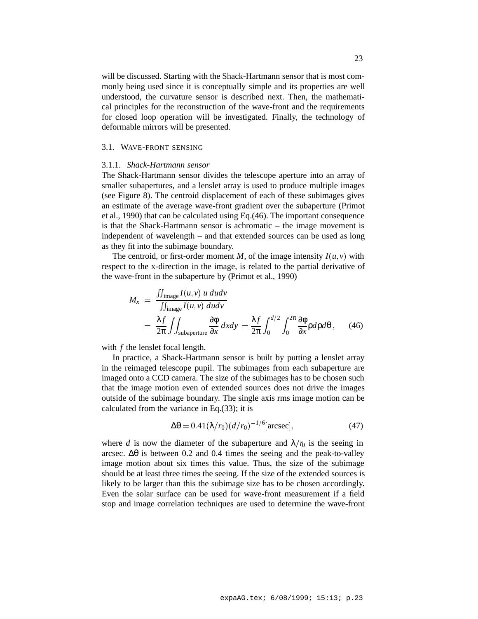will be discussed. Starting with the Shack-Hartmann sensor that is most commonly being used since it is conceptually simple and its properties are well understood, the curvature sensor is described next. Then, the mathematical principles for the reconstruction of the wave-front and the requirements for closed loop operation will be investigated. Finally, the technology of deformable mirrors will be presented.

## 3.1. WAVE-FRONT SENSING

### 3.1.1. *Shack-Hartmann sensor*

The Shack-Hartmann sensor divides the telescope aperture into an array of smaller subapertures, and a lenslet array is used to produce multiple images (see Figure 8). The centroid displacement of each of these subimages gives an estimate of the average wave-front gradient over the subaperture (Primot et al., 1990) that can be calculated using Eq.(46). The important consequence is that the Shack-Hartmann sensor is achromatic – the image movement is independent of wavelength – and that extended sources can be used as long as they fit into the subimage boundary.

The centroid, or first-order moment *M*, of the image intensity  $I(u, v)$  with respect to the x-direction in the image, is related to the partial derivative of the wave-front in the subaperture by (Primot et al., 1990)

$$
M_x = \frac{\iint_{\text{image}} I(u, v) u dudv}{\iint_{\text{image}} I(u, v) dudv} = \frac{\lambda f}{2\pi} \iint_{\text{subaperture}} \frac{\partial \phi}{\partial x} dxdy = \frac{\lambda f}{2\pi} \int_0^{d/2} \int_0^{2\pi} \frac{\partial \phi}{\partial x} \rho d\rho d\theta, \qquad (46)
$$

with *f* the lenslet focal length.

In practice, a Shack-Hartmann sensor is built by putting a lenslet array in the reimaged telescope pupil. The subimages from each subaperture are imaged onto a CCD camera. The size of the subimages has to be chosen such that the image motion even of extended sources does not drive the images outside of the subimage boundary. The single axis rms image motion can be calculated from the variance in Eq.(33); it is

$$
\Delta\theta = 0.41(\lambda/r_0)(d/r_0)^{-1/6}[\text{arcsec}],\tag{47}
$$

where *d* is now the diameter of the subaperture and  $\lambda/n$  is the seeing in arcsec.  $\Delta\theta$  is between 0.2 and 0.4 times the seeing and the peak-to-valley image motion about six times this value. Thus, the size of the subimage should be at least three times the seeing. If the size of the extended sources is likely to be larger than this the subimage size has to be chosen accordingly. Even the solar surface can be used for wave-front measurement if a field stop and image correlation techniques are used to determine the wave-front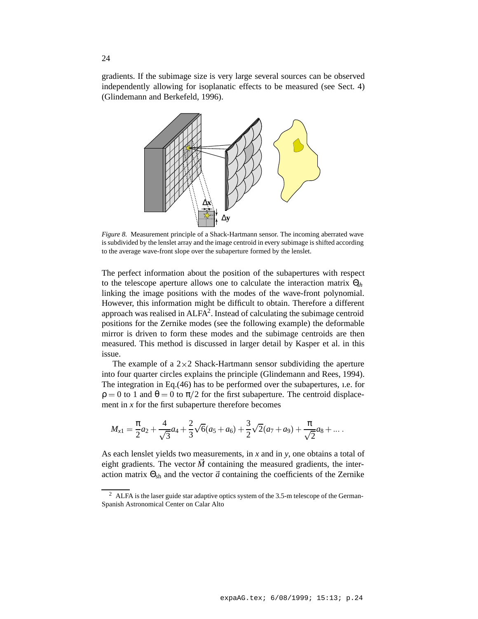gradients. If the subimage size is very large several sources can be observed independently allowing for isoplanatic effects to be measured (see Sect. 4) (Glindemann and Berkefeld, 1996).



*Figure 8.* Measurement principle of a Shack-Hartmann sensor. The incoming aberrated wave is subdivided by the lenslet array and the image centroid in every subimage is shifted according to the average wave-front slope over the subaperture formed by the lenslet.

The perfect information about the position of the subapertures with respect to the telescope aperture allows one to calculate the interaction matrix Θ*sh* linking the image positions with the modes of the wave-front polynomial. However, this information might be difficult to obtain. Therefore a different approach was realised in  $ALFA^2$ . Instead of calculating the subimage centroid positions for the Zernike modes (see the following example) the deformable mirror is driven to form these modes and the subimage centroids are then measured. This method is discussed in larger detail by Kasper et al. in this issue.

The example of a  $2\times 2$  Shack-Hartmann sensor subdividing the aperture into four quarter circles explains the principle (Glindemann and Rees, 1994). The integration in Eq.(46) has to be performed over the subapertures, ı.e. for  $\rho = 0$  to 1 and  $\theta = 0$  to  $\pi/2$  for the first subaperture. The centroid displacement in  $x$  for the first subaperture therefore becomes

$$
M_{x1} = \frac{\pi}{2}a_2 + \frac{4}{\sqrt{3}}a_4 + \frac{2}{3}\sqrt{6}(a_5 + a_6) + \frac{3}{2}\sqrt{2}(a_7 + a_9) + \frac{\pi}{\sqrt{2}}a_8 + \dots
$$

As each lenslet yields two measurements, in *x* and in *y*, one obtains a total of eight gradients. The vector  $\vec{M}$  containing the measured gradients, the interaction matrix  $\Theta_{sh}$  and the vector  $\vec{a}$  containing the coefficients of the Zernike

<sup>&</sup>lt;sup>2</sup> ALFA is the laser guide star adaptive optics system of the 3.5-m telescope of the German-Spanish Astronomical Center on Calar Alto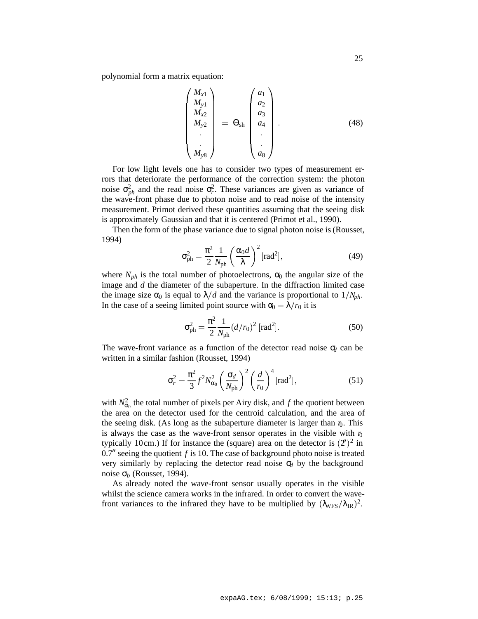polynomial form a matrix equation:

$$
\begin{pmatrix}\nM_{x1} \\
M_{y1} \\
M_{x2} \\
M_{y2} \\
M_{y8}\n\end{pmatrix} = \Theta_{sh} \begin{pmatrix}\na_1 \\
a_2 \\
a_3 \\
a_4 \\
\vdots \\
a_8\n\end{pmatrix} . \tag{48}
$$

For low light levels one has to consider two types of measurement errors that deteriorate the performance of the correction system: the photon noise  $\sigma_{ph}^2$  and the read noise  $\sigma_r^2$ . These variances are given as variance of the wave-front phase due to photon noise and to read noise of the intensity measurement. Primot derived these quantities assuming that the seeing disk is approximately Gaussian and that it is centered (Primot et al., 1990).

Then the form of the phase variance due to signal photon noise is (Rousset, 1994)

$$
\sigma_{\rm ph}^2 = \frac{\pi^2}{2} \frac{1}{N_{\rm ph}} \left(\frac{\alpha_0 d}{\lambda}\right)^2 [\text{rad}^2],\tag{49}
$$

where  $N_{ph}$  is the total number of photoelectrons,  $\alpha_0$  the angular size of the image and *d* the diameter of the subaperture. In the diffraction limited case the image size  $\alpha_0$  is equal to  $\lambda/d$  and the variance is proportional to  $1/N_{ph}$ . In the case of a seeing limited point source with  $\alpha_0 = \lambda/r_0$  it is

$$
\sigma_{\rm ph}^2 = \frac{\pi^2}{2} \frac{1}{N_{\rm ph}} (d/r_0)^2 \, [\text{rad}^2]. \tag{50}
$$

The wave-front variance as a function of the detector read noise  $\sigma_d$  can be written in a similar fashion (Rousset, 1994)

$$
\sigma_r^2 = \frac{\pi^2}{3} f^2 N_{\alpha_0}^2 \left(\frac{\sigma_d}{N_{\text{ph}}}\right)^2 \left(\frac{d}{r_0}\right)^4 [\text{rad}^2],\tag{51}
$$

with  $N_{\alpha_0}^2$  the total number of pixels per Airy disk, and *f* the quotient between the area on the detector used for the centroid calculation, and the area of the seeing disk. (As long as the subaperture diameter is larger than  $r<sub>0</sub>$ . This is always the case as the wave-front sensor operates in the visible with  $r<sub>0</sub>$ typically 10cm.) If for instance the (square) area on the detector is  $(2<sup>t</sup>)<sup>2</sup>$  in  $0.7<sup>′</sup>$  seeing the quotient *f* is 10. The case of background photo noise is treated very similarly by replacing the detector read noise  $\sigma_d$  by the background noise  $\sigma_b$  (Rousset, 1994).

As already noted the wave-front sensor usually operates in the visible whilst the science camera works in the infrared. In order to convert the wavefront variances to the infrared they have to be multiplied by  $(\lambda_{WFS}/\lambda_{IR})^2$ .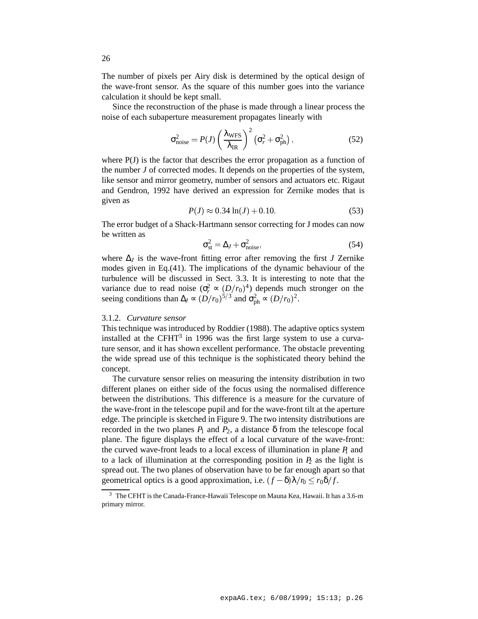The number of pixels per Airy disk is determined by the optical design of the wave-front sensor. As the square of this number goes into the variance calculation it should be kept small.

Since the reconstruction of the phase is made through a linear process the noise of each subaperture measurement propagates linearly with

$$
\sigma_{\text{noise}}^2 = P(J) \left( \frac{\lambda_{\text{WFS}}}{\lambda_{\text{IR}}} \right)^2 \left( \sigma_r^2 + \sigma_{\text{ph}}^2 \right),\tag{52}
$$

where P(J) is the factor that describes the error propagation as a function of the number *J* of corrected modes. It depends on the properties of the system, like sensor and mirror geometry, number of sensors and actuators etc. Rigaut and Gendron, 1992 have derived an expression for Zernike modes that is given as

$$
P(J) \approx 0.34 \ln(J) + 0.10. \tag{53}
$$

The error budget of a Shack-Hartmann sensor correcting for J modes can now be written as

$$
\sigma_{\rm st}^2 = \Delta_J + \sigma_{\rm noise}^2,\tag{54}
$$

where  $\Delta$ *J* is the wave-front fitting error after removing the first *J* Zernike modes given in Eq.(41). The implications of the dynamic behaviour of the turbulence will be discussed in Sect. 3.3. It is interesting to note that the variance due to read noise  $(\sigma_r^2 \propto (D/r_0)^4)$  depends much stronger on the seeing conditions than  $\Delta_J \propto (D/r_0)^{5/3}$  and  $\sigma_{ph}^2 \propto (D/r_0)^2$ .

## 3.1.2. *Curvature sensor*

This technique was introduced by Roddier (1988). The adaptive optics system installed at the CFHT<sup>3</sup> in 1996 was the first large system to use a curvature sensor, and it has shown excellent performance. The obstacle preventing the wide spread use of this technique is the sophisticated theory behind the concept.

The curvature sensor relies on measuring the intensity distribution in two different planes on either side of the focus using the normalised difference between the distributions. This difference is a measure for the curvature of the wave-front in the telescope pupil and for the wave-front tilt at the aperture edge. The principle is sketched in Figure 9. The two intensity distributions are recorded in the two planes  $P_1$  and  $P_2$ , a distance  $\delta$  from the telescope focal plane. The figure displays the effect of a local curvature of the wave-front: the curved wave-front leads to a local excess of illumination in plane  *and* to a lack of illumination at the corresponding position in  $P_2$  as the light is spread out. The two planes of observation have to be far enough apart so that geometrical optics is a good approximation, i.e.  $(f - \delta)\lambda/n \le r_0 \delta/f$ .

<sup>3</sup> The CFHT is the Canada-France-Hawaii Telescope on Mauna Kea, Hawaii. It has a 3.6-m primary mirror.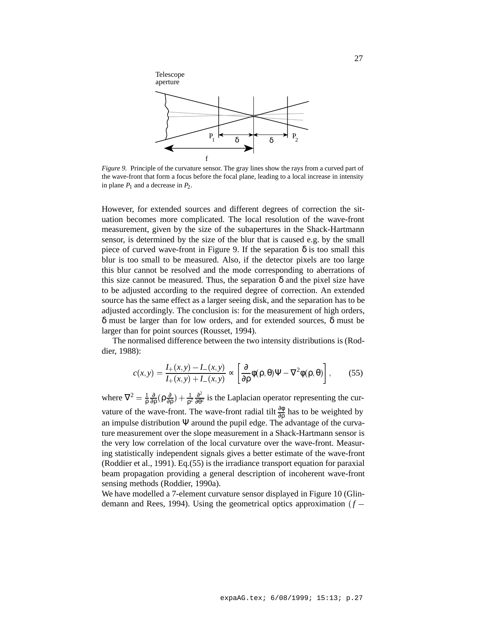

*Figure 9.* Principle of the curvature sensor. The gray lines show the rays from a curved part of the wave-front that form a focus before the focal plane, leading to a local increase in intensity in plane  $P_1$  and a decrease in  $P_2$ .

However, for extended sources and different degrees of correction the situation becomes more complicated. The local resolution of the wave-front measurement, given by the size of the subapertures in the Shack-Hartmann sensor, is determined by the size of the blur that is caused e.g. by the small piece of curved wave-front in Figure 9. If the separation  $\delta$  is too small this blur is too small to be measured. Also, if the detector pixels are too large this blur cannot be resolved and the mode corresponding to aberrations of this size cannot be measured. Thus, the separation  $\delta$  and the pixel size have to be adjusted according to the required degree of correction. An extended source has the same effect as a larger seeing disk, and the separation has to be adjusted accordingly. The conclusion is: for the measurement of high orders, δ must be larger than for low orders, and for extended sources, δ must be larger than for point sources (Rousset, 1994).

The normalised difference between the two intensity distributions is (Roddier, 1988):

$$
c(x,y) = \frac{I_+(x,y) - I_-(x,y)}{I_+(x,y) + I_-(x,y)} \propto \left[\frac{\partial}{\partial \rho} \phi(\rho,\theta)\Psi - \nabla^2 \phi(\rho,\theta)\right],\tag{55}
$$

where  $\nabla^2 = \frac{1}{\rho} \frac{\partial}{\partial \rho} (\rho \frac{\partial}{\partial \rho}) + \frac{1}{\rho^2}$  $\frac{\partial}{\partial \rho}(\rho \frac{\partial}{\partial \rho}) + \frac{1}{\rho^2} \frac{\partial^2}{\partial \theta^2}$  is the L:  $\frac{\partial^2}{\partial \theta^2}$  is the Laplacian operator representing the curvature of the wave-front. The wave-front radial tilt  $\frac{\partial \phi}{\partial \rho}$  has to be weighted by an impulse distribution  $\Psi$  around the pupil edge. The advantage of the curvature measurement over the slope measurement in a Shack-Hartmann sensor is the very low correlation of the local curvature over the wave-front. Measuring statistically independent signals gives a better estimate of the wave-front (Roddier et al., 1991). Eq.(55) is the irradiance transport equation for paraxial beam propagation providing a general description of incoherent wave-front sensing methods (Roddier, 1990a).

We have modelled a 7-element curvature sensor displayed in Figure 10 (Glindemann and Rees, 1994). Using the geometrical optics approximation  $(f -$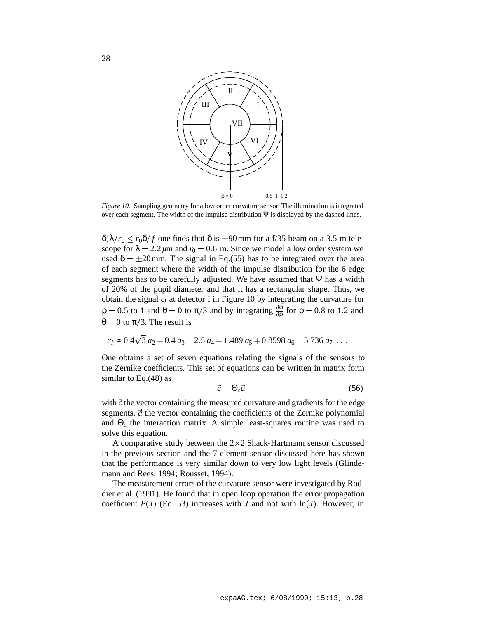

*Figure 10.* Sampling geometry for a low order curvature sensor. The illumination is integrated over each segment. The width of the impulse distribution  $\Psi$  is displayed by the dashed lines.

 $\delta\lambda/r_0 \le r_0 \delta/f$  one finds that  $\delta$  is  $\pm 90$  mm for a f/35 beam on a 3.5-m telescope for  $\lambda = 2.2 \mu$ m and  $r_0 = 0.6$  m. Since we model a low order system we used  $\delta = \pm 20$  mm. The signal in Eq.(55) has to be integrated over the area of each segment where the width of the impulse distribution for the 6 edge segments has to be carefully adjusted. We have assumed that  $\Psi$  has a width of 20% of the pupil diameter and that it has a rectangular shape. Thus, we obtain the signal  $c_I$  at detector I in Figure 10 by integrating the curvature for  $\rho = 0.5$  to 1 and  $\theta = 0$  to  $\pi/3$  and by integrating  $\frac{\partial \phi}{\partial \rho}$  for  $\rho = 0.8$  to 1.2 and  $\theta = 0$  to  $\pi/3$ . The result is

$$
c_1 \approx 0.4\sqrt{3} a_2 + 0.4 a_3 - 2.5 a_4 + 1.489 a_5 + 0.8598 a_6 - 5.736 a_7 \dots
$$

One obtains a set of seven equations relating the signals of the sensors to the Zernike coefficients. This set of equations can be written in matrix form similar to Eq.(48) as

$$
\vec{c} = \Theta_c \vec{a},\tag{56}
$$

with  $\vec{c}$  the vector containing the measured curvature and gradients for the edge segments,  $\vec{a}$  the vector containing the coefficients of the Zernike polynomial and Θ*<sup>c</sup>* the interaction matrix. A simple least-squares routine was used to solve this equation.

A comparative study between the  $2\times 2$  Shack-Hartmann sensor discussed in the previous section and the 7-element sensor discussed here has shown that the performance is very similar down to very low light levels (Glindemann and Rees, 1994; Rousset, 1994).

The measurement errors of the curvature sensor were investigated by Roddier et al. (1991). He found that in open loop operation the error propagation coefficient  $P(J)$  (Eq. 53) increases with *J* and not with  $\ln(J)$ . However, in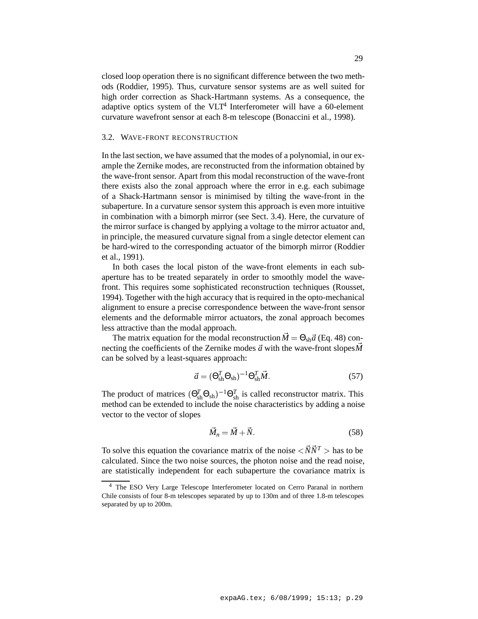closed loop operation there is no significant difference between the two methods (Roddier, 1995). Thus, curvature sensor systems are as well suited for high order correction as Shack-Hartmann systems. As a consequence, the adaptive optics system of the  $VLT<sup>4</sup>$  Interferometer will have a 60-element curvature wavefront sensor at each 8-m telescope (Bonaccini et al., 1998).

## 3.2. WAVE-FRONT RECONSTRUCTION

In the last section, we have assumed that the modes of a polynomial, in our example the Zernike modes, are reconstructed from the information obtained by the wave-front sensor. Apart from this modal reconstruction of the wave-front there exists also the zonal approach where the error in e.g. each subimage of a Shack-Hartmann sensor is minimised by tilting the wave-front in the subaperture. In a curvature sensor system this approach is even more intuitive in combination with a bimorph mirror (see Sect. 3.4). Here, the curvature of the mirror surface is changed by applying a voltage to the mirror actuator and, in principle, the measured curvature signal from a single detector element can be hard-wired to the corresponding actuator of the bimorph mirror (Roddier et al., 1991).

In both cases the local piston of the wave-front elements in each subaperture has to be treated separately in order to smoothly model the wavefront. This requires some sophisticated reconstruction techniques (Rousset, 1994). Together with the high accuracy that is required in the opto-mechanical alignment to ensure a precise correspondence between the wave-front sensor elements and the deformable mirror actuators, the zonal approach becomes less attractive than the modal approach.

The matrix equation for the modal reconstruction  $\vec{M} = \Theta_{sh} \vec{a}$  (Eq. 48) connecting the coefficients of the Zernike modes  $\vec{a}$  with the wave-front slopes  $\vec{M}$ can be solved by a least-squares approach:

$$
\vec{a} = (\Theta_{\text{sh}}^T \Theta_{\text{sh}})^{-1} \Theta_{\text{sh}}^T \vec{M}.
$$
 (57)

The product of matrices  $(\Theta_{\rm sh}^T \Theta_{\rm sh})^{-1} \Theta_{\rm sh}^T$  is called reconstructor matrix. This method can be extended to include the noise characteristics by adding a noise vector to the vector of slopes

$$
\vec{M}_n = \vec{M} + \vec{N}.\tag{58}
$$

To solve this equation the covariance matrix of the noise  $\langle \vec{N} \vec{N}^T \rangle$  has to be calculated. Since the two noise sources, the photon noise and the read noise, are statistically independent for each subaperture the covariance matrix is

<sup>4</sup> The ESO Very Large Telescope Interferometer located on Cerro Paranal in northern Chile consists of four 8-m telescopes separated by up to 130m and of three 1.8-m telescopes separated by up to 200m.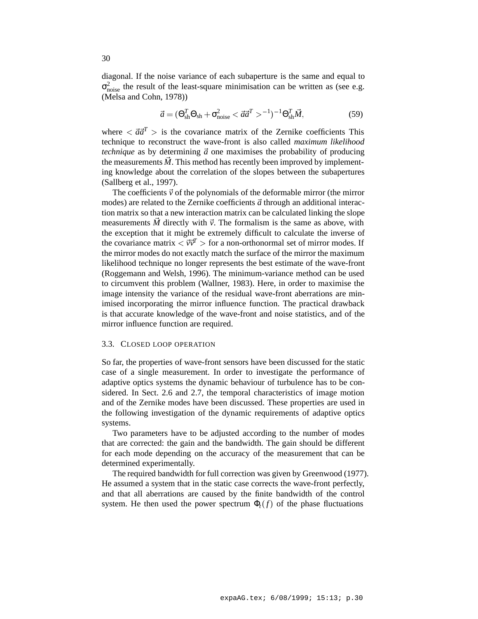diagonal. If the noise variance of each subaperture is the same and equal to  $\sigma_{\text{noise}}^2$  the result of the least-square minimisation can be written as (see e.g. (Melsa and Cohn, 1978))

$$
\vec{a} = (\Theta_{\rm sh}^T \Theta_{\rm sh} + \sigma_{\rm noise}^2 < \vec{a}\vec{a}^T > ^{-1})^{-1} \Theta_{\rm sh}^T \vec{M},
$$
(59)

where  $\langle \vec{a}\vec{a}^T \rangle$  is the covariance matrix of the Zernike coefficients This technique to reconstruct the wave-front is also called *maximum likelihood technique* as by determining  $\vec{a}$  one maximises the probability of producing the measurements  $M$ . This method has recently been improved by implementing knowledge about the correlation of the slopes between the subapertures (Sallberg et al., 1997).

The coefficients  $\vec{v}$  of the polynomials of the deformable mirror (the mirror modes) are related to the Zernike coefficients  $\vec{a}$  through an additional interaction matrix so that a new interaction matrix can be calculated linking the slope measurements  $\vec{M}$  directly with  $\vec{v}$ . The formalism is the same as above, with the exception that it might be extremely difficult to calculate the inverse of the covariance matrix  $\langle \vec{v} \vec{v}^T \rangle$  for a non-orthonormal set of mirror modes. If the mirror modes do not exactly match the surface of the mirror the maximum likelihood technique no longer represents the best estimate of the wave-front (Roggemann and Welsh, 1996). The minimum-variance method can be used to circumvent this problem (Wallner, 1983). Here, in order to maximise the image intensity the variance of the residual wave-front aberrations are minimised incorporating the mirror influence function. The practical drawback is that accurate knowledge of the wave-front and noise statistics, and of the mirror influence function are required.

## 3.3. CLOSED LOOP OPERATION

So far, the properties of wave-front sensors have been discussed for the static case of a single measurement. In order to investigate the performance of adaptive optics systems the dynamic behaviour of turbulence has to be considered. In Sect. 2.6 and 2.7, the temporal characteristics of image motion and of the Zernike modes have been discussed. These properties are used in the following investigation of the dynamic requirements of adaptive optics systems.

Two parameters have to be adjusted according to the number of modes that are corrected: the gain and the bandwidth. The gain should be different for each mode depending on the accuracy of the measurement that can be determined experimentally.

The required bandwidth for full correction was given by Greenwood (1977). He assumed a system that in the static case corrects the wave-front perfectly, and that all aberrations are caused by the finite bandwidth of the control system. He then used the power spectrum  $\Phi_t(f)$  of the phase fluctuations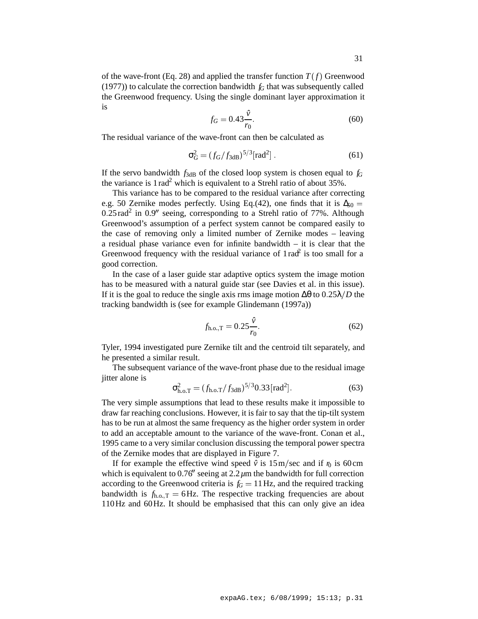of the wave-front (Eq. 28) and applied the transfer function  $T(f)$  Greenwood (1977)) to calculate the correction bandwidth  $f_G$  that was subsequently called the Greenwood frequency. Using the single dominant layer approximation it is

$$
f_G = 0.43 \frac{\hat{v}}{r_0}.
$$
 (60)

The residual variance of the wave-front can then be calculated as

$$
\sigma_G^2 = (f_G/f_{3dB})^{5/3} [\text{rad}^2] \,. \tag{61}
$$

If the servo bandwidth  $f_{3dB}$  of the closed loop system is chosen equal to  $f_G$ the variance is  $1 \text{ rad}^2$  which is equivalent to a Strehl ratio of about 35%.

This variance has to be compared to the residual variance after correcting e.g. 50 Zernike modes perfectly. Using Eq.(42), one finds that it is  $\Delta_{50} =$  $0.25 \text{ rad}^2$  in  $0.9$ <sup>n</sup> seeing, corresponding to a Strehl ratio of 77%. Although Greenwood's assumption of a perfect system cannot be compared easily to the case of removing only a limited number of Zernike modes – leaving a residual phase variance even for infinite bandwidth – it is clear that the Greenwood frequency with the residual variance of  $1 \text{ rad}^2$  is too small for a good correction.

In the case of a laser guide star adaptive optics system the image motion has to be measured with a natural guide star (see Davies et al. in this issue). If it is the goal to reduce the single axis rms image motion  $\Delta\theta$  to  $0.25\lambda/D$  the tracking bandwidth is (see for example Glindemann (1997a))

$$
f_{\text{h.o.},T} = 0.25 \frac{\hat{v}}{r_0}.
$$
 (62)

Tyler, 1994 investigated pure Zernike tilt and the centroid tilt separately, and he presented a similar result.

The subsequent variance of the wave-front phase due to the residual image jitter alone is

$$
\sigma_{\text{h.o.T}}^2 = (f_{\text{h.o.T}}/f_{3\text{dB}})^{5/3} 0.33 \,\text{[rad}^2].\tag{63}
$$

The very simple assumptions that lead to these results make it impossible to draw far reaching conclusions. However, it is fair to say that the tip-tilt system has to be run at almost the same frequency as the higher order system in order to add an acceptable amount to the variance of the wave-front. Conan et al., 1995 came to a very similar conclusion discussing the temporal power spectra of the Zernike modes that are displayed in Figure 7.

If for example the effective wind speed  $\hat{v}$  is 15m/sec and if  $r_0$  is 60cm which is equivalent to  $0.76$ <sup> $\prime\prime$ </sup> seeing at 2.2 $\mu$ m the bandwidth for full correction according to the Greenwood criteria is  $f<sub>G</sub> = 11$  Hz, and the required tracking bandwidth is  $f_{h.o. T} = 6$  Hz. The respective tracking frequencies are about 110Hz and 60Hz. It should be emphasised that this can only give an idea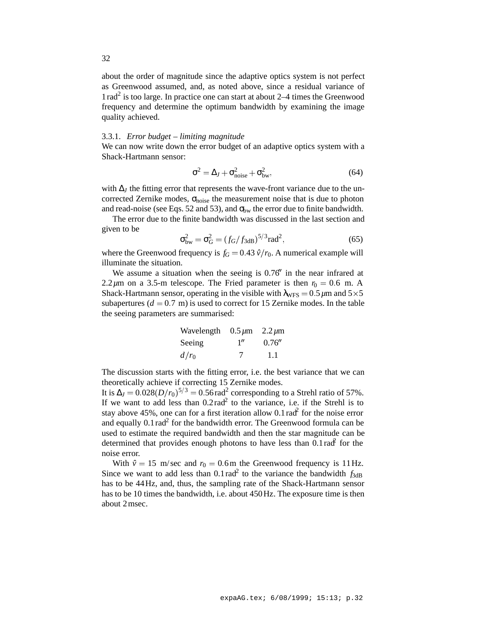about the order of magnitude since the adaptive optics system is not perfect as Greenwood assumed, and, as noted above, since a residual variance of  $1 rad<sup>2</sup>$  is too large. In practice one can start at about 2–4 times the Greenwood frequency and determine the optimum bandwidth by examining the image quality achieved.

### 3.3.1. *Error budget – limiting magnitude*

We can now write down the error budget of an adaptive optics system with a Shack-Hartmann sensor:

$$
\sigma^2 = \Delta_J + \sigma_{\text{noise}}^2 + \sigma_{\text{bw}}^2,\tag{64}
$$

with ∆*J* the fitting error that represents the wave-front variance due to the uncorrected Zernike modes,  $\sigma_{noise}$  the measurement noise that is due to photon and read-noise (see Eqs. 52 and 53), and  $\sigma_{bw}$  the error due to finite bandwidth.

The error due to the finite bandwidth was discussed in the last section and given to be

$$
\sigma_{bw}^2 = \sigma_G^2 = (f_G/f_{3dB})^{5/3} \text{rad}^2,
$$
\n(65)

where the Greenwood frequency is  $f<sub>G</sub> = 0.43 \hat{v}/r<sub>0</sub>$ . A numerical example will illuminate the situation.

We assume a situation when the seeing is  $0.76$ <sup>t</sup> in the near infrared at 2.2 $\mu$ m on a 3.5-m telescope. The Fried parameter is then  $r_0 = 0.6$  m. A Shack-Hartmann sensor, operating in the visible with  $\lambda_{WFS} = 0.5 \,\mu\text{m}$  and  $5 \times 5$ subapertures  $(d = 0.7 \text{ m})$  is used to correct for 15 Zernike modes. In the table the seeing parameters are summarised:

| Wavelength $0.5 \mu m$ 2.2 $\mu$ m |     |        |  |
|------------------------------------|-----|--------|--|
| Seeing                             | 1'' | 0.76'' |  |
| $d/r_0$                            | 7   | -1.1   |  |

The discussion starts with the fitting error, i.e. the best variance that we can theoretically achieve if correcting 15 Zernike modes.

It is  $\Delta_J = 0.028(D/r_0)^{5/3} = 0.56$  rad<sup>2</sup> corresponding to a Strehl ratio of 57%. If we want to add less than  $0.2 \text{ rad}^2$  to the variance, i.e. if the Strehl is to stay above 45%, one can for a first iteration allow 0.1 rad<sup>2</sup> for the noise error and equally 0.1 rad<sup>2</sup> for the bandwidth error. The Greenwood formula can be used to estimate the required bandwidth and then the star magnitude can be determined that provides enough photons to have less than  $0.1 \text{ rad}^2$  for the noise error.

With  $\hat{v} = 15$  m/sec and  $r_0 = 0.6$ m the Greenwood frequency is 11Hz. Since we want to add less than  $0.1 \text{ rad}^2$  to the variance the bandwidth  $f_{3dB}$ has to be 44Hz, and, thus, the sampling rate of the Shack-Hartmann sensor has to be 10 times the bandwidth, i.e. about 450Hz. The exposure time is then about 2msec.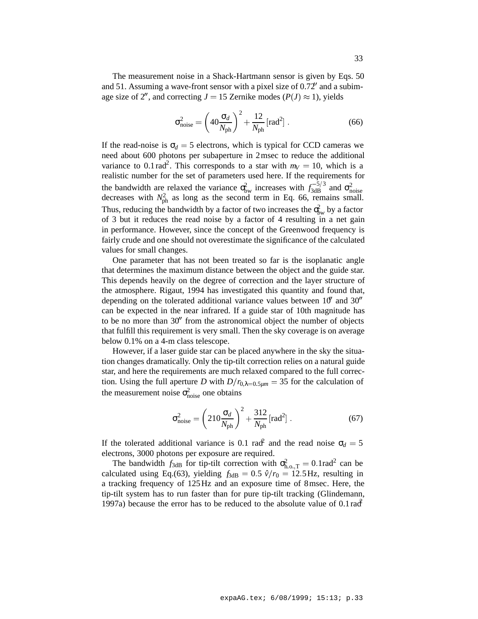The measurement noise in a Shack-Hartmann sensor is given by Eqs. 50 and 51. Assuming a wave-front sensor with a pixel size of  $0.72<sup>1</sup>$  and a subimage size of 2<sup>n</sup>, and correcting  $J = 15$  Zernike modes ( $P(J) \approx 1$ ), yields

$$
\sigma_{\text{noise}}^2 = \left(40 \frac{\sigma_d}{N_{\text{ph}}}\right)^2 + \frac{12}{N_{\text{ph}}} \left[\text{rad}^2\right].\tag{66}
$$

If the read-noise is  $\sigma_d = 5$  electrons, which is typical for CCD cameras we need about 600 photons per subaperture in 2msec to reduce the additional variance to 0.1 rad<sup>2</sup>. This corresponds to a star with  $m_V = 10$ , which is a realistic number for the set of parameters used here. If the requirements for the bandwidth are relaxed the variance  $\sigma_{bw}^2$  increases with  $f_{3dB}^{-5/3}$  and  $\sigma_{noise}^2$  decreases with  $N_{ph}^2$  as long as the second term in Eq. 66, remains small. Thus, reducing the bandwidth by a factor of two increases the  $\sigma_{bw}^2$  by a factor of 3 but it reduces the read noise by a factor of 4 resulting in a net gain in performance. However, since the concept of the Greenwood frequency is fairly crude and one should not overestimate the significance of the calculated values for small changes.

One parameter that has not been treated so far is the isoplanatic angle that determines the maximum distance between the object and the guide star. This depends heavily on the degree of correction and the layer structure of the atmosphere. Rigaut, 1994 has investigated this quantity and found that, depending on the tolerated additional variance values between  $10<sup>1</sup>$  and  $30<sup>11</sup>$ can be expected in the near infrared. If a guide star of 10th magnitude has to be no more than  $30<sup>0</sup>$  from the astronomical object the number of objects that fulfill this requirement is very small. Then the sky coverage is on average below 0.1% on a 4-m class telescope.

However, if a laser guide star can be placed anywhere in the sky the situation changes dramatically. Only the tip-tilt correction relies on a natural guide star, and here the requirements are much relaxed compared to the full correction. Using the full aperture *D* with  $D/r_{0,\lambda=0.5\mu m} = 35$  for the calculation of the measurement noise  $\sigma_{noise}^2$  one obtains

$$
\sigma_{\text{noise}}^2 = \left(210 \frac{\sigma_d}{N_{\text{ph}}}\right)^2 + \frac{312}{N_{\text{ph}}} \text{[rad}^2\text{]} \,. \tag{67}
$$

If the tolerated additional variance is 0.1 rad<sup>2</sup> and the read noise  $\sigma_d = 5$ electrons, 3000 photons per exposure are required.

The bandwidth  $f_{3dB}$  for tip-tilt correction with  $\sigma_{h.o.,T}^2 = 0.1 \text{rad}^2$  can be calculated using Eq.(63), yielding  $f_{3dB} = 0.5 \hat{v}/r_0 = 12.5 \text{ Hz}$ , resulting in a tracking frequency of 125Hz and an exposure time of 8msec. Here, the tip-tilt system has to run faster than for pure tip-tilt tracking (Glindemann, 1997a) because the error has to be reduced to the absolute value of  $0.1 \text{ rad}^2$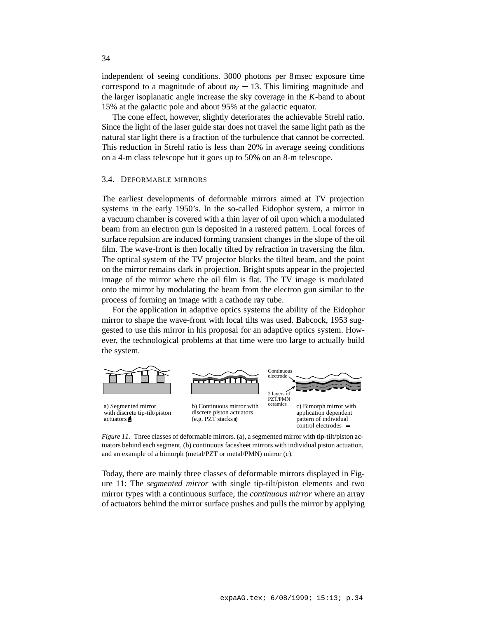independent of seeing conditions. 3000 photons per 8msec exposure time correspond to a magnitude of about  $m<sub>V</sub> = 13$ . This limiting magnitude and the larger isoplanatic angle increase the sky coverage in the *K*-band to about 15% at the galactic pole and about 95% at the galactic equator.

The cone effect, however, slightly deteriorates the achievable Strehl ratio. Since the light of the laser guide star does not travel the same light path as the natural star light there is a fraction of the turbulence that cannot be corrected. This reduction in Strehl ratio is less than 20% in average seeing conditions on a 4-m class telescope but it goes up to 50% on an 8-m telescope.

## 3.4. DEFORMABLE MIRRORS

The earliest developments of deformable mirrors aimed at TV projection systems in the early 1950's. In the so-called Eidophor system, a mirror in a vacuum chamber is covered with a thin layer of oil upon which a modulated beam from an electron gun is deposited in a rastered pattern. Local forces of surface repulsion are induced forming transient changes in the slope of the oil film. The wave-front is then locally tilted by refraction in traversing the film. The optical system of the TV projector blocks the tilted beam, and the point on the mirror remains dark in projection. Bright spots appear in the projected image of the mirror where the oil film is flat. The TV image is modulated onto the mirror by modulating the beam from the electron gun similar to the process of forming an image with a cathode ray tube.

For the application in adaptive optics systems the ability of the Eidophor mirror to shape the wave-front with local tilts was used. Babcock, 1953 suggested to use this mirror in his proposal for an adaptive optics system. However, the technological problems at that time were too large to actually build the system.



*Figure 11.* Three classes of deformable mirrors. (a), a segmented mirror with tip-tilt/piston actuators behind each segment, (b) continuous facesheet mirrors with individual piston actuation, and an example of a bimorph (metal/PZT or metal/PMN) mirror (c).

Today, there are mainly three classes of deformable mirrors displayed in Figure 11: The *segmented mirror* with single tip-tilt/piston elements and two mirror types with a continuous surface, the *continuous mirror* where an array of actuators behind the mirror surface pushes and pulls the mirror by applying

34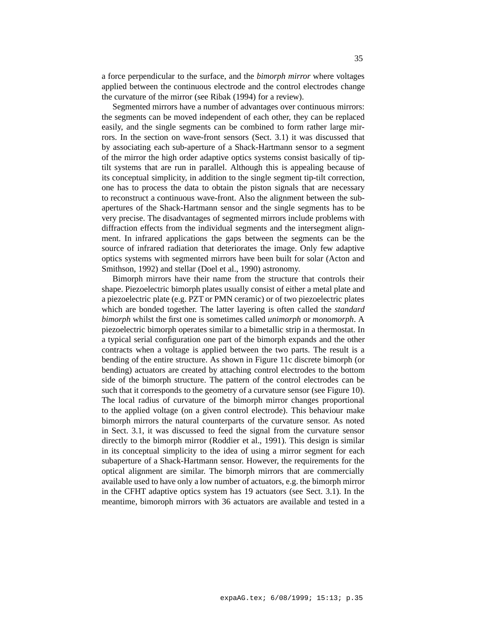a force perpendicular to the surface, and the *bimorph mirror* where voltages applied between the continuous electrode and the control electrodes change the curvature of the mirror (see Ribak (1994) for a review).

Segmented mirrors have a number of advantages over continuous mirrors: the segments can be moved independent of each other, they can be replaced easily, and the single segments can be combined to form rather large mirrors. In the section on wave-front sensors (Sect. 3.1) it was discussed that by associating each sub-aperture of a Shack-Hartmann sensor to a segment of the mirror the high order adaptive optics systems consist basically of tiptilt systems that are run in parallel. Although this is appealing because of its conceptual simplicity, in addition to the single segment tip-tilt correction, one has to process the data to obtain the piston signals that are necessary to reconstruct a continuous wave-front. Also the alignment between the subapertures of the Shack-Hartmann sensor and the single segments has to be very precise. The disadvantages of segmented mirrors include problems with diffraction effects from the individual segments and the intersegment alignment. In infrared applications the gaps between the segments can be the source of infrared radiation that deteriorates the image. Only few adaptive optics systems with segmented mirrors have been built for solar (Acton and Smithson, 1992) and stellar (Doel et al., 1990) astronomy.

Bimorph mirrors have their name from the structure that controls their shape. Piezoelectric bimorph plates usually consist of either a metal plate and a piezoelectric plate (e.g. PZT or PMN ceramic) or of two piezoelectric plates which are bonded together. The latter layering is often called the *standard bimorph* whilst the first one is sometimes called *unimorph* or *monomorph*. A piezoelectric bimorph operates similar to a bimetallic strip in a thermostat. In a typical serial configuration one part of the bimorph expands and the other contracts when a voltage is applied between the two parts. The result is a bending of the entire structure. As shown in Figure 11c discrete bimorph (or bending) actuators are created by attaching control electrodes to the bottom side of the bimorph structure. The pattern of the control electrodes can be such that it corresponds to the geometry of a curvature sensor (see Figure 10). The local radius of curvature of the bimorph mirror changes proportional to the applied voltage (on a given control electrode). This behaviour make bimorph mirrors the natural counterparts of the curvature sensor. As noted in Sect. 3.1, it was discussed to feed the signal from the curvature sensor directly to the bimorph mirror (Roddier et al., 1991). This design is similar in its conceptual simplicity to the idea of using a mirror segment for each subaperture of a Shack-Hartmann sensor. However, the requirements for the optical alignment are similar. The bimorph mirrors that are commercially available used to have only a low number of actuators, e.g. the bimorph mirror in the CFHT adaptive optics system has 19 actuators (see Sect. 3.1). In the meantime, bimoroph mirrors with 36 actuators are available and tested in a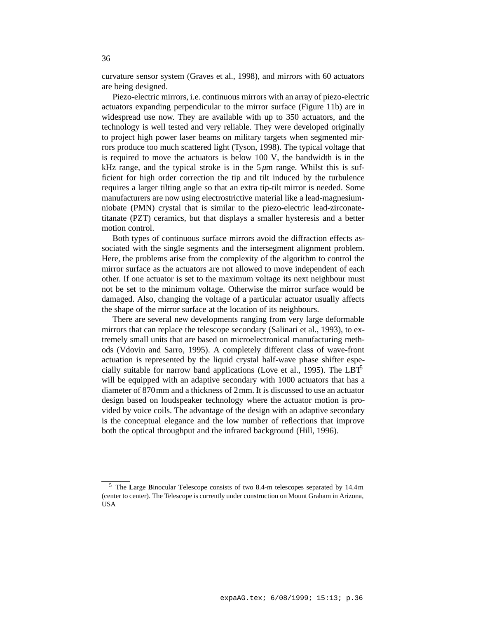curvature sensor system (Graves et al., 1998), and mirrors with 60 actuators are being designed.

Piezo-electric mirrors, i.e. continuous mirrors with an array of piezo-electric actuators expanding perpendicular to the mirror surface (Figure 11b) are in widespread use now. They are available with up to 350 actuators, and the technology is well tested and very reliable. They were developed originally to project high power laser beams on military targets when segmented mirrors produce too much scattered light (Tyson, 1998). The typical voltage that is required to move the actuators is below 100 V, the bandwidth is in the kHz range, and the typical stroke is in the  $5\mu$ m range. Whilst this is sufficient for high order correction the tip and tilt induced by the turbulence requires a larger tilting angle so that an extra tip-tilt mirror is needed. Some manufacturers are now using electrostrictive material like a lead-magnesiumniobate (PMN) crystal that is similar to the piezo-electric lead-zirconatetitanate (PZT) ceramics, but that displays a smaller hysteresis and a better motion control.

Both types of continuous surface mirrors avoid the diffraction effects associated with the single segments and the intersegment alignment problem. Here, the problems arise from the complexity of the algorithm to control the mirror surface as the actuators are not allowed to move independent of each other. If one actuator is set to the maximum voltage its next neighbour must not be set to the minimum voltage. Otherwise the mirror surface would be damaged. Also, changing the voltage of a particular actuator usually affects the shape of the mirror surface at the location of its neighbours.

There are several new developments ranging from very large deformable mirrors that can replace the telescope secondary (Salinari et al., 1993), to extremely small units that are based on microelectronical manufacturing methods (Vdovin and Sarro, 1995). A completely different class of wave-front actuation is represented by the liquid crystal half-wave phase shifter especially suitable for narrow band applications (Love et al., 1995). The LBT<sup>5</sup> will be equipped with an adaptive secondary with 1000 actuators that has a diameter of 870mm and a thickness of 2mm. It is discussed to use an actuator design based on loudspeaker technology where the actuator motion is provided by voice coils. The advantage of the design with an adaptive secondary is the conceptual elegance and the low number of reflections that improve both the optical throughput and the infrared background (Hill, 1996).

<sup>5</sup> The **L**arge **B**inocular **T**elescope consists of two 8.4-m telescopes separated by 14.4m (center to center). The Telescope is currently under construction on Mount Graham in Arizona, **USA**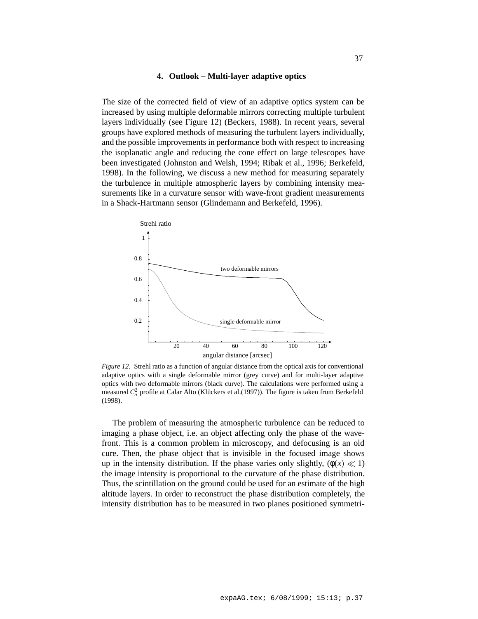### **4. Outlook – Multi-layer adaptive optics**

The size of the corrected field of view of an adaptive optics system can be increased by using multiple deformable mirrors correcting multiple turbulent layers individually (see Figure 12) (Beckers, 1988). In recent years, several groups have explored methods of measuring the turbulent layers individually, and the possible improvements in performance both with respect to increasing the isoplanatic angle and reducing the cone effect on large telescopes have been investigated (Johnston and Welsh, 1994; Ribak et al., 1996; Berkefeld, 1998). In the following, we discuss a new method for measuring separately the turbulence in multiple atmospheric layers by combining intensity measurements like in a curvature sensor with wave-front gradient measurements in a Shack-Hartmann sensor (Glindemann and Berkefeld, 1996).



*Figure 12.* Strehl ratio as a function of angular distance from the optical axis for conventional adaptive optics with a single deformable mirror (grey curve) and for multi-layer adaptive optics with two deformable mirrors (black curve). The calculations were performed using a measured  $C_n^2$  profile at Calar Alto (Klückers et al.(1997)). The figure is taken from Berkefeld (1998).

The problem of measuring the atmospheric turbulence can be reduced to imaging a phase object, i.e. an object affecting only the phase of the wavefront. This is a common problem in microscopy, and defocusing is an old cure. Then, the phase object that is invisible in the focused image shows up in the intensity distribution. If the phase varies only slightly,  $(\phi(x) \ll 1)$ the image intensity is proportional to the curvature of the phase distribution. Thus, the scintillation on the ground could be used for an estimate of the high altitude layers. In order to reconstruct the phase distribution completely, the intensity distribution has to be measured in two planes positioned symmetri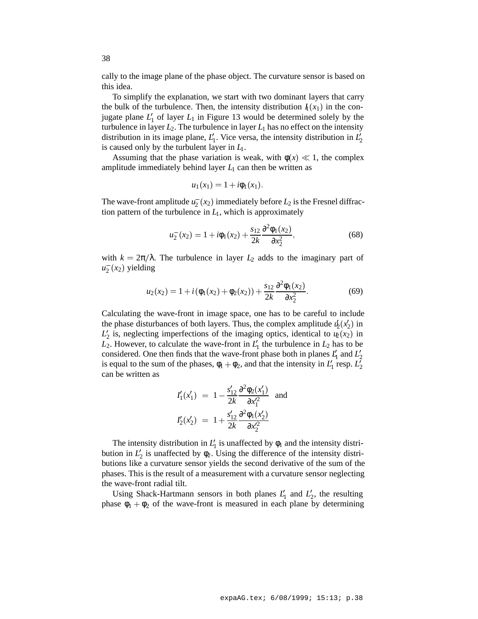cally to the image plane of the phase object. The curvature sensor is based on this idea.

To simplify the explanation, we start with two dominant layers that carry the bulk of the turbulence. Then, the intensity distribution  $I_1(x_1)$  in the conjugate plane  $L_1'$  of layer  $L_1$  in Figure 13 would be determined solely by the turbulence in layer  $L_2$ . The turbulence in layer  $L_1$  has no effect on the intensity distribution in its image plane,  $L_1'$ . Vice versa, the intensity distribution in  $L_2'$ is caused only by the turbulent layer in *L*1.

Assuming that the phase variation is weak, with  $\phi(x) \ll 1$ , the complex amplitude immediately behind layer  $L<sub>1</sub>$  can then be written as

$$
u_1(x_1) = 1 + i\phi_1(x_1).
$$

The wave-front amplitude  $u_2^-(x_2)$  immediately before  $L_2$  is the Fresnel diffraction pattern of the turbulence in  $L_1$ , which is approximately

$$
u_2^-(x_2) = 1 + i\phi_1(x_2) + \frac{s_{12}}{2k} \frac{\partial^2 \phi_1(x_2)}{\partial x_2^2},
$$
\n(68)

with  $k = 2\pi/\lambda$ . The turbulence in layer  $L_2$  adds to the imaginary part of  $u_2^-(x_2)$  yielding

$$
u_2(x_2) = 1 + i(\phi_1(x_2) + \phi_2(x_2)) + \frac{s_{12}}{2k} \frac{\partial^2 \phi_1(x_2)}{\partial x_2^2}.
$$
 (69)

Calculating the wave-front in image space, one has to be careful to include the phase disturbances of both layers. Thus, the complex amplitude  $u_2(x_2)$  in  $L_2'$  is, neglecting imperfections of the imaging optics, identical to  $u_2(x_2)$  in  $L_2$ . However, to calculate the wave-front in  $L_1$ <sup>1</sup> the turbulence in  $L_2$  has to be considered. One then finds that the wave-front phase both in planes  $L_1$  and  $L_2$ is equal to the sum of the phases,  $\phi_1 + \phi_2$ , and that the intensity in  $L'_1$  resp.  $L'_2$ can be written as

$$
I'_1(x'_1) = 1 - \frac{s'_{12}}{2k} \frac{\partial^2 \phi_2(x'_1)}{\partial x'^2_1} \text{ and}
$$
  

$$
I'_2(x'_2) = 1 + \frac{s'_{12}}{2k} \frac{\partial^2 \phi_1(x'_2)}{\partial x'^2_2}
$$

The intensity distribution in  $L_1$  is unaffected by  $\phi_1$  and the intensity distribution in  $L_2$  is unaffected by  $\phi_2$ . Using the difference of the intensity distributions like a curvature sensor yields the second derivative of the sum of the phases. This is the result of a measurement with a curvature sensor neglecting the wave-front radial tilt.

Using Shack-Hartmann sensors in both planes  $L_1'$  and  $L_2'$ , the resulting phase  $\phi_1 + \phi_2$  of the wave-front is measured in each plane by determining

38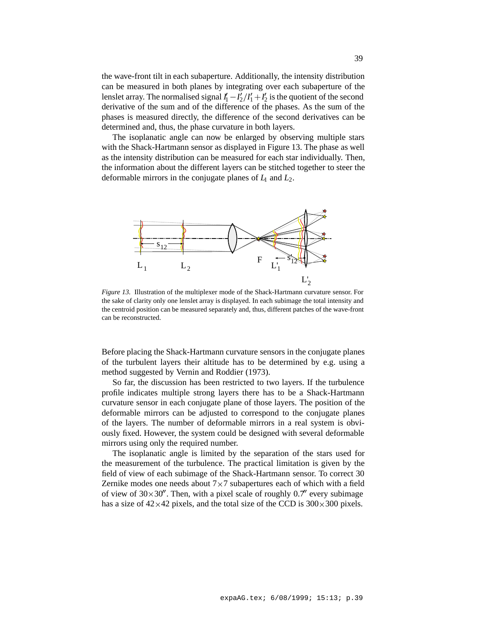the wave-front tilt in each subaperture. Additionally, the intensity distribution can be measured in both planes by integrating over each subaperture of the lenslet array. The normalised signal  $I_1' - I_2'/I_1' + I_2'$  is the quotient of the second derivative of the sum and of the difference of the phases. As the sum of the phases is measured directly, the difference of the second derivatives can be determined and, thus, the phase curvature in both layers.

The isoplanatic angle can now be enlarged by observing multiple stars with the Shack-Hartmann sensor as displayed in Figure 13. The phase as well as the intensity distribution can be measured for each star individually. Then, the information about the different layers can be stitched together to steer the deformable mirrors in the conjugate planes of *L*<sup>1</sup> and *L*2.



*Figure 13.* Illustration of the multiplexer mode of the Shack-Hartmann curvature sensor. For the sake of clarity only one lenslet array is displayed. In each subimage the total intensity and the centroid position can be measured separately and, thus, different patches of the wave-front can be reconstructed.

Before placing the Shack-Hartmann curvature sensors in the conjugate planes of the turbulent layers their altitude has to be determined by e.g. using a method suggested by Vernin and Roddier (1973).

So far, the discussion has been restricted to two layers. If the turbulence profile indicates multiple strong layers there has to be a Shack-Hartmann curvature sensor in each conjugate plane of those layers. The position of the deformable mirrors can be adjusted to correspond to the conjugate planes of the layers. The number of deformable mirrors in a real system is obviously fixed. However, the system could be designed with several deformable mirrors using only the required number.

The isoplanatic angle is limited by the separation of the stars used for the measurement of the turbulence. The practical limitation is given by the field of view of each subimage of the Shack-Hartmann sensor. To correct 30 Zernike modes one needs about  $7\times7$  subapertures each of which with a field of view of  $30\times30''$ . Then, with a pixel scale of roughly  $0.7''$  every subimage has a size of  $42\times42$  pixels, and the total size of the CCD is  $300\times300$  pixels.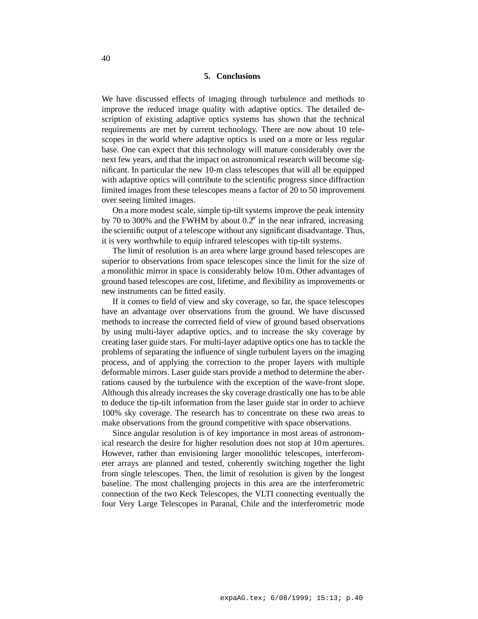## **5. Conclusions**

We have discussed effects of imaging through turbulence and methods to improve the reduced image quality with adaptive optics. The detailed description of existing adaptive optics systems has shown that the technical requirements are met by current technology. There are now about 10 telescopes in the world where adaptive optics is used on a more or less regular base. One can expect that this technology will mature considerably over the next few years, and that the impact on astronomical research will become significant. In particular the new 10-m class telescopes that will all be equipped with adaptive optics will contribute to the scientific progress since diffraction limited images from these telescopes means a factor of 20 to 50 improvement over seeing limited images.

On a more modest scale, simple tip-tilt systems improve the peak intensity by 70 to 300% and the FWHM by about  $0.2<sup>0</sup>$  in the near infrared, increasing the scientific output of a telescope without any significant disadvantage. Thus, it is very worthwhile to equip infrared telescopes with tip-tilt systems.

The limit of resolution is an area where large ground based telescopes are superior to observations from space telescopes since the limit for the size of a monolithic mirror in space is considerably below 10m. Other advantages of ground based telescopes are cost, lifetime, and flexibility as improvements or new instruments can be fitted easily.

If it comes to field of view and sky coverage, so far, the space telescopes have an advantage over observations from the ground. We have discussed methods to increase the corrected field of view of ground based observations by using multi-layer adaptive optics, and to increase the sky coverage by creating laser guide stars. For multi-layer adaptive optics one has to tackle the problems of separating the influence of single turbulent layers on the imaging process, and of applying the correction to the proper layers with multiple deformable mirrors. Laser guide stars provide a method to determine the aberrations caused by the turbulence with the exception of the wave-front slope. Although this already increases the sky coverage drastically one has to be able to deduce the tip-tilt information from the laser guide star in order to achieve 100% sky coverage. The research has to concentrate on these two areas to make observations from the ground competitive with space observations.

Since angular resolution is of key importance in most areas of astronomical research the desire for higher resolution does not stop at 10m apertures. However, rather than envisioning larger monolithic telescopes, interferometer arrays are planned and tested, coherently switching together the light from single telescopes. Then, the limit of resolution is given by the longest baseline. The most challenging projects in this area are the interferometric connection of the two Keck Telescopes, the VLTI connecting eventually the four Very Large Telescopes in Paranal, Chile and the interferometric mode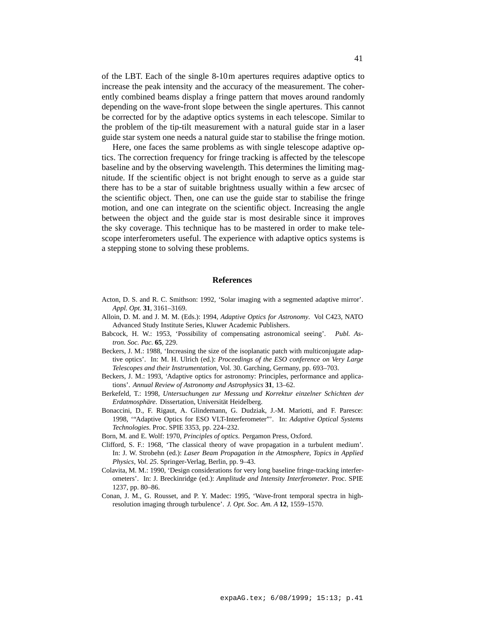of the LBT. Each of the single 8-10m apertures requires adaptive optics to increase the peak intensity and the accuracy of the measurement. The coherently combined beams display a fringe pattern that moves around randomly depending on the wave-front slope between the single apertures. This cannot be corrected for by the adaptive optics systems in each telescope. Similar to the problem of the tip-tilt measurement with a natural guide star in a laser guide star system one needs a natural guide star to stabilise the fringe motion.

Here, one faces the same problems as with single telescope adaptive optics. The correction frequency for fringe tracking is affected by the telescope baseline and by the observing wavelength. This determines the limiting magnitude. If the scientific object is not bright enough to serve as a guide star there has to be a star of suitable brightness usually within a few arcsec of the scientific object. Then, one can use the guide star to stabilise the fringe motion, and one can integrate on the scientific object. Increasing the angle between the object and the guide star is most desirable since it improves the sky coverage. This technique has to be mastered in order to make telescope interferometers useful. The experience with adaptive optics systems is a stepping stone to solving these problems.

### **References**

- Acton, D. S. and R. C. Smithson: 1992, 'Solar imaging with a segmented adaptive mirror'. *Appl. Opt.* **31**, 3161–3169.
- Alloin, D. M. and J. M. M. (Eds.): 1994, *Adaptive Optics for Astronomy*. Vol C423, NATO Advanced Study Institute Series, Kluwer Academic Publishers.
- Babcock, H. W.: 1953, 'Possibility of compensating astronomical seeing'. *Publ. Astron. Soc. Pac.* **65**, 229.
- Beckers, J. M.: 1988, 'Increasing the size of the isoplanatic patch with multiconjugate adaptive optics'. In: M. H. Ulrich (ed.): *Proceedings of the ESO conference on Very Large Telescopes and their Instrumentation*, Vol. 30. Garching, Germany, pp. 693–703.
- Beckers, J. M.: 1993, 'Adaptive optics for astronomy: Principles, performance and applications'. *Annual Review of Astronomy and Astrophysics* **31**, 13–62.
- Berkefeld, T.: 1998, *Untersuchungen zur Messung und Korrektur einzelner Schichten der Erdatmosphäre*. Dissertation, Universität Heidelberg.
- Bonaccini, D., F. Rigaut, A. Glindemann, G. Dudziak, J.-M. Mariotti, and F. Paresce: 1998, '"Adaptive Optics for ESO VLT-Interferometer"'. In: *Adaptive Optical Systems Technologies*. Proc. SPIE 3353, pp. 224–232.
- Born, M. and E. Wolf: 1970, *Principles of optics*. Pergamon Press, Oxford.
- Clifford, S. F.: 1968, 'The classical theory of wave propagation in a turbulent medium'. In: J. W. Strobehn (ed.): *Laser Beam Propagation in the Atmosphere, Topics in Applied Physics, Vol. 25*. Springer-Verlag, Berlin, pp. 9–43.
- Colavita, M. M.: 1990, 'Design considerations for very long baseline fringe-tracking interferometers'. In: J. Breckinridge (ed.): *Amplitude and Intensity Interferometer*. Proc. SPIE 1237, pp. 80–86.
- Conan, J. M., G. Rousset, and P. Y. Madec: 1995, 'Wave-front temporal spectra in highresolution imaging through turbulence'. *J. Opt. Soc. Am. A* **12**, 1559–1570.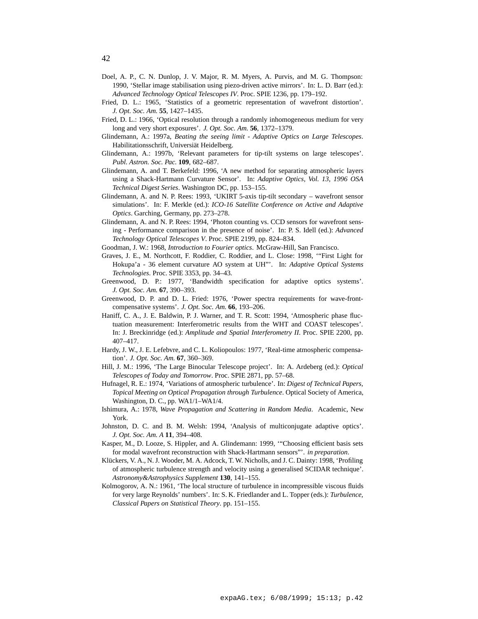- Doel, A. P., C. N. Dunlop, J. V. Major, R. M. Myers, A. Purvis, and M. G. Thompson: 1990, 'Stellar image stabilisation using piezo-driven active mirrors'. In: L. D. Barr (ed.): *Advanced Technology Optical Telescopes IV*. Proc. SPIE 1236, pp. 179–192.
- Fried, D. L.: 1965, 'Statistics of a geometric representation of wavefront distortion'. *J. Opt. Soc. Am.* **55**, 1427–1435.
- Fried, D. L.: 1966, 'Optical resolution through a randomly inhomogeneous medium for very long and very short exposures'. *J. Opt. Soc. Am.* **56**, 1372–1379.
- Glindemann, A.: 1997a, *Beating the seeing limit Adaptive Optics on Large Telescopes*. Habilitationsschrift, Universiät Heidelberg.
- Glindemann, A.: 1997b, 'Relevant parameters for tip-tilt systems on large telescopes'. *Publ. Astron. Soc. Pac.* **109**, 682–687.
- Glindemann, A. and T. Berkefeld: 1996, 'A new method for separating atmospheric layers using a Shack-Hartmann Curvature Sensor'. In: *Adaptive Optics, Vol. 13, 1996 OSA Technical Digest Series*. Washington DC, pp. 153–155.
- Glindemann, A. and N. P. Rees: 1993, 'UKIRT 5-axis tip-tilt secondary wavefront sensor simulations'. In: F. Merkle (ed.): *ICO-16 Satellite Conference on Active and Adaptive Optics*. Garching, Germany, pp. 273–278.
- Glindemann, A. and N. P. Rees: 1994, 'Photon counting vs. CCD sensors for wavefront sensing - Performance comparison in the presence of noise'. In: P. S. Idell (ed.): *Advanced Technology Optical Telescopes V*. Proc. SPIE 2199, pp. 824–834.
- Goodman, J. W.: 1968, *Introduction to Fourier optics*. McGraw-Hill, San Francisco.
- Graves, J. E., M. Northcott, F. Roddier, C. Roddier, and L. Close: 1998, '"First Light for Hokupa'a - 36 element curvature AO system at UH"'. In: *Adaptive Optical Systems Technologies*. Proc. SPIE 3353, pp. 34–43.
- Greenwood, D. P.: 1977, 'Bandwidth specification for adaptive optics systems'. *J. Opt. Soc. Am.* **67**, 390–393.
- Greenwood, D. P. and D. L. Fried: 1976, 'Power spectra requirements for wave-frontcompensative systems'. *J. Opt. Soc. Am.* **66**, 193–206.
- Haniff, C. A., J. E. Baldwin, P. J. Warner, and T. R. Scott: 1994, 'Atmospheric phase fluctuation measurement: Interferometric results from the WHT and COAST telescopes'. In: J. Breckinridge (ed.): *Amplitude and Spatial Interferometry II*. Proc. SPIE 2200, pp. 407–417.
- Hardy, J. W., J. E. Lefebvre, and C. L. Koliopoulos: 1977, 'Real-time atmospheric compensation'. *J. Opt. Soc. Am.* **67**, 360–369.
- Hill, J. M.: 1996, 'The Large Binocular Telescope project'. In: A. Ardeberg (ed.): *Optical Telescopes of Today and Tomorrow*. Proc. SPIE 2871, pp. 57–68.
- Hufnagel, R. E.: 1974, 'Variations of atmospheric turbulence'. In: *Digest of Technical Papers, Topical Meeting on Optical Propagation through Turbulence*. Optical Society of America, Washington, D. C., pp. WA1/1–WA1/4.
- Ishimura, A.: 1978, *Wave Propagation and Scattering in Random Media*. Academic, New York.
- Johnston, D. C. and B. M. Welsh: 1994, 'Analysis of multiconjugate adaptive optics'. *J. Opt. Soc. Am. A* **11**, 394–408.
- Kasper, M., D. Looze, S. Hippler, and A. Glindemann: 1999, '"Choosing efficient basis sets for modal wavefront reconstruction with Shack-Hartmann sensors"'. *in preparation*.
- Klückers, V. A., N. J. Wooder, M. A. Adcock, T. W. Nicholls, and J. C. Dainty: 1998, 'Profiling of atmospheric turbulence strength and velocity using a generalised SCIDAR technique'. *Astronomy&Astrophysics Supplement* **130**, 141–155.
- Kolmogorov, A. N.: 1961, 'The local structure of turbulence in incompressible viscous fluids for very large Reynolds' numbers'. In: S. K. Friedlander and L. Topper (eds.): *Turbulence, Classical Papers on Statistical Theory*. pp. 151–155.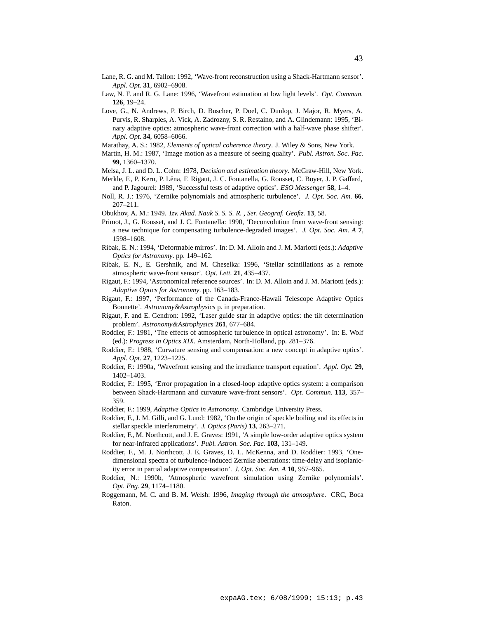- Lane, R. G. and M. Tallon: 1992, 'Wave-front reconstruction using a Shack-Hartmann sensor'. *Appl. Opt.* **31**, 6902–6908.
- Law, N. F. and R. G. Lane: 1996, 'Wavefront estimation at low light levels'. *Opt. Commun.* **126**, 19–24.
- Love, G., N. Andrews, P. Birch, D. Buscher, P. Doel, C. Dunlop, J. Major, R. Myers, A. Purvis, R. Sharples, A. Vick, A. Zadrozny, S. R. Restaino, and A. Glindemann: 1995, 'Binary adaptive optics: atmospheric wave-front correction with a half-wave phase shifter'. *Appl. Opt.* **34**, 6058–6066.
- Marathay, A. S.: 1982, *Elements of optical coherence theory*. J. Wiley & Sons, New York.
- Martin, H. M.: 1987, 'Image motion as a measure of seeing quality'. *Publ. Astron. Soc. Pac.* **99**, 1360–1370.
- Melsa, J. L. and D. L. Cohn: 1978, *Decision and estimation theory*. McGraw-Hill, New York.
- Merkle, F., P. Kern, P. Léna, F. Rigaut, J. C. Fontanella, G. Rousset, C. Boyer, J. P. Gaffard, and P. Jagourel: 1989, 'Successful tests of adaptive optics'. *ESO Messenger* **58**, 1–4.
- Noll, R. J.: 1976, 'Zernike polynomials and atmospheric turbulence'. *J. Opt. Soc. Am.* **66**, 207–211.
- Obukhov, A. M.: 1949. *Izv. Akad. Nauk S. S. S. R. , Ser. Geograf. Geofiz.* **13**, 58.
- Primot, J., G. Rousset, and J. C. Fontanella: 1990, 'Deconvolution from wave-front sensing: a new technique for compensating turbulence-degraded images'. *J. Opt. Soc. Am. A* **7**, 1598–1608.
- Ribak, E. N.: 1994, 'Deformable mirros'. In: D. M. Alloin and J. M. Mariotti (eds.): *Adaptive Optics for Astronomy*. pp. 149–162.
- Ribak, E. N., E. Gershnik, and M. Cheselka: 1996, 'Stellar scintillations as a remote atmospheric wave-front sensor'. *Opt. Lett.* **21**, 435–437.
- Rigaut, F.: 1994, 'Astronomical reference sources'. In: D. M. Alloin and J. M. Mariotti (eds.): *Adaptive Optics for Astronomy*. pp. 163–183.
- Rigaut, F.: 1997, 'Performance of the Canada-France-Hawaii Telescope Adaptive Optics Bonnette'. *Astronomy&Astrophysics* p. in preparation.
- Rigaut, F. and E. Gendron: 1992, 'Laser guide star in adaptive optics: the tilt determination problem'. *Astronomy&Astrophysics* **261**, 677–684.
- Roddier, F.: 1981, 'The effects of atmospheric turbulence in optical astronomy'. In: E. Wolf (ed.): *Progress in Optics XIX*. Amsterdam, North-Holland, pp. 281–376.
- Roddier, F.: 1988, 'Curvature sensing and compensation: a new concept in adaptive optics'. *Appl. Opt.* **27**, 1223–1225.
- Roddier, F.: 1990a, 'Wavefront sensing and the irradiance transport equation'. *Appl. Opt.* **29**, 1402–1403.
- Roddier, F.: 1995, 'Error propagation in a closed-loop adaptive optics system: a comparison between Shack-Hartmann and curvature wave-front sensors'. *Opt. Commun.* **113**, 357– 359.
- Roddier, F.: 1999, *Adaptive Optics in Astronomy*. Cambridge University Press.
- Roddier, F., J. M. Gilli, and G. Lund: 1982, 'On the origin of speckle boiling and its effects in stellar speckle interferometry'. *J. Optics (Paris)* **13**, 263–271.
- Roddier, F., M. Northcott, and J. E. Graves: 1991, 'A simple low-order adaptive optics system for near-infrared applications'. *Publ. Astron. Soc. Pac.* **103**, 131–149.
- Roddier, F., M. J. Northcott, J. E. Graves, D. L. McKenna, and D. Roddier: 1993, 'Onedimensional spectra of turbulence-induced Zernike aberrations: time-delay and isoplanicity error in partial adaptive compensation'. *J. Opt. Soc. Am. A* **10**, 957–965.
- Roddier, N.: 1990b, 'Atmospheric wavefront simulation using Zernike polynomials'. *Opt. Eng.* **29**, 1174–1180.
- Roggemann, M. C. and B. M. Welsh: 1996, *Imaging through the atmosphere*. CRC, Boca Raton.